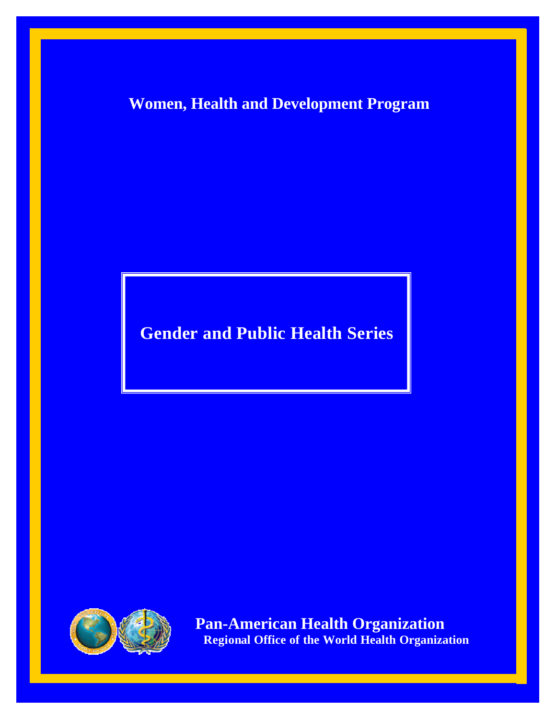**Women, Health and Development Program**

**Gender and Public Health Series**



 $\ddot{\phantom{1}}$ *Pan-American Health Organization <b>Regional Office of the World Health Organization*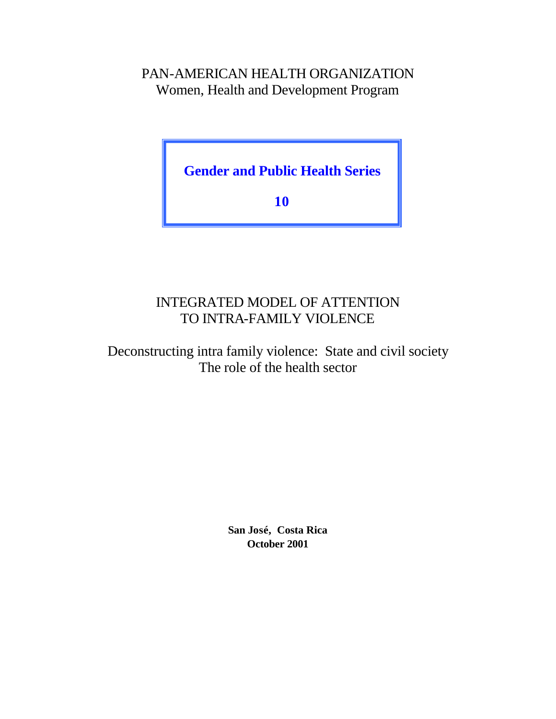# PAN-AMERICAN HEALTH ORGANIZATION Women, Health and Development Program

**Gender and Public Health Series**

**10**

# INTEGRATED MODEL OF ATTENTION TO INTRA-FAMILY VIOLENCE

Deconstructing intra family violence: State and civil society The role of the health sector

> **San José, Costa Rica October 2001**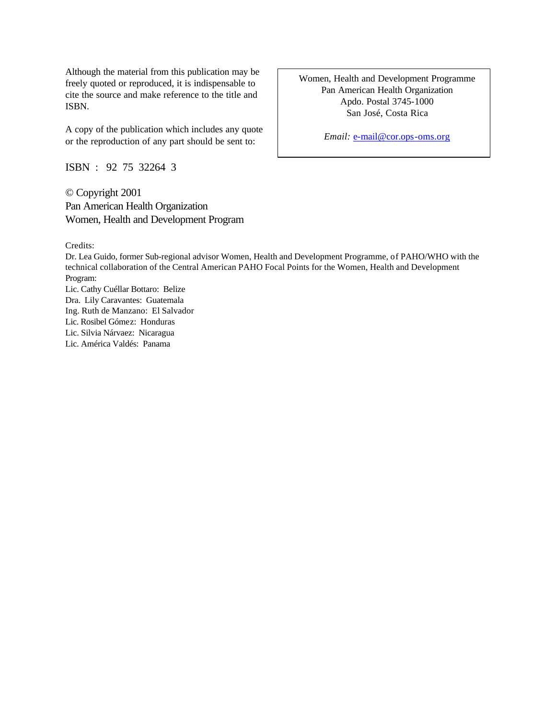Although the material from this publication may be freely quoted or reproduced, it is indispensable to cite the source and make reference to the title and ISBN.

A copy of the publication which includes any quote or the reproduction of any part should be sent to:

ISBN : 92 75 32264 3

© Copyright 2001 Pan American Health Organization Women, Health and Development Program

Credits:

Dr. Lea Guido, former Sub-regional advisor Women, Health and Development Programme, of PAHO/WHO with the technical collaboration of the Central American PAHO Focal Points for the Women, Health and Development Program:

Lic. Cathy Cuéllar Bottaro: Belize Dra. Lily Caravantes: Guatemala Ing. Ruth de Manzano: El Salvador Lic. Rosibel Gómez: Honduras Lic. Silvia Nárvaez: Nicaragua Lic. América Valdés: Panama

Women, Health and Development Programme Pan American Health Organization Apdo. Postal 3745-1000 San José, Costa Rica

*Email:* e-mail@cor.ops-oms.org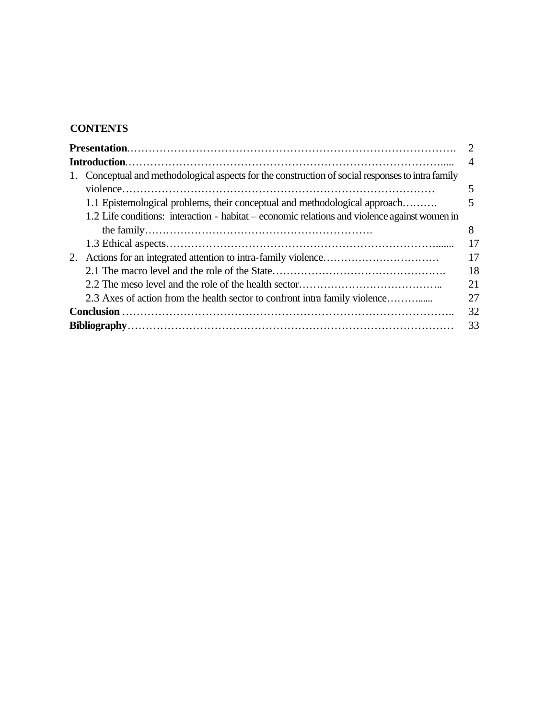# **CONTENTS**

|    | 1. Conceptual and methodological aspects for the construction of social responses to intra family<br>1.1 Epistemological problems, their conceptual and methodological approach<br>1.2 Life conditions: interaction - habitat – economic relations and violence against women in |          |  |  |  |
|----|----------------------------------------------------------------------------------------------------------------------------------------------------------------------------------------------------------------------------------------------------------------------------------|----------|--|--|--|
|    |                                                                                                                                                                                                                                                                                  | 8<br>17  |  |  |  |
| 2. |                                                                                                                                                                                                                                                                                  | 17<br>18 |  |  |  |
|    | 2.3 Axes of action from the health sector to confront intra family violence                                                                                                                                                                                                      | 21<br>27 |  |  |  |
|    | 32                                                                                                                                                                                                                                                                               |          |  |  |  |
|    | 33                                                                                                                                                                                                                                                                               |          |  |  |  |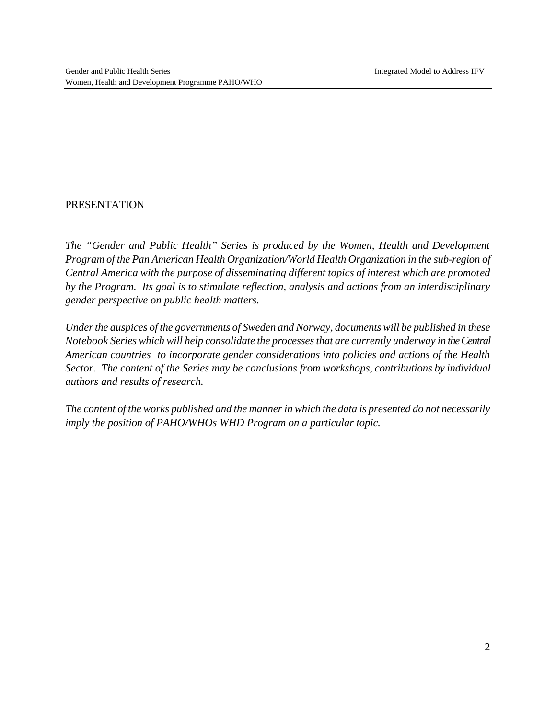#### PRESENTATION

*The "Gender and Public Health" Series is produced by the Women, Health and Development Program of the Pan American Health Organization/World Health Organization in the sub-region of Central America with the purpose of disseminating different topics of interest which are promoted by the Program. Its goal is to stimulate reflection, analysis and actions from an interdisciplinary gender perspective on public health matters.*

*Under the auspices of the governments of Sweden and Norway, documents will be published in these Notebook Series which will help consolidate the processes that are currently underway in the Central American countries to incorporate gender considerations into policies and actions of the Health Sector. The content of the Series may be conclusions from workshops, contributions by individual authors and results of research.*

*The content of the works published and the manner in which the data is presented do not necessarily imply the position of PAHO/WHOs WHD Program on a particular topic.*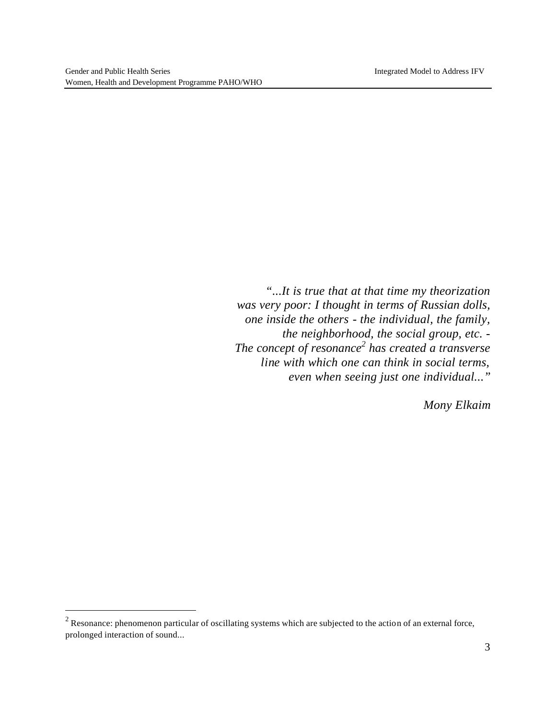$\overline{a}$ 

*"...It is true that at that time my theorization was very poor: I thought in terms of Russian dolls, one inside the others - the individual, the family, the neighborhood, the social group, etc. - The concept of resonance<sup>2</sup> has created a transverse line with which one can think in social terms, even when seeing just one individual..."*

*Mony Elkaim*

 $2^2$  Resonance: phenomenon particular of oscillating systems which are subjected to the action of an external force, prolonged interaction of sound...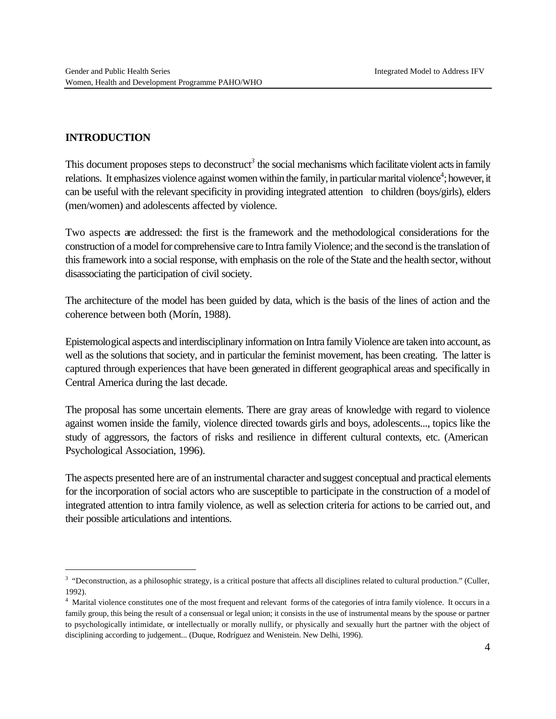#### **INTRODUCTION**

 $\overline{a}$ 

This document proposes steps to deconstruct<sup>3</sup> the social mechanisms which facilitate violent acts in family relations. It emphasizes violence against women within the family, in particular marital violence<sup>4</sup>; however, it can be useful with the relevant specificity in providing integrated attention to children (boys/girls), elders (men/women) and adolescents affected by violence.

Two aspects are addressed: the first is the framework and the methodological considerations for the construction of a model for comprehensive care to Intra family Violence; and the second is the translation of this framework into a social response, with emphasis on the role of the State and the health sector, without disassociating the participation of civil society.

The architecture of the model has been guided by data, which is the basis of the lines of action and the coherence between both (Morín, 1988).

Epistemological aspects and interdisciplinary information on Intra family Violence are taken into account, as well as the solutions that society, and in particular the feminist movement, has been creating. The latter is captured through experiences that have been generated in different geographical areas and specifically in Central America during the last decade.

The proposal has some uncertain elements. There are gray areas of knowledge with regard to violence against women inside the family, violence directed towards girls and boys, adolescents..., topics like the study of aggressors, the factors of risks and resilience in different cultural contexts, etc. (American Psychological Association, 1996).

The aspects presented here are of an instrumental character and suggest conceptual and practical elements for the incorporation of social actors who are susceptible to participate in the construction of a model of integrated attention to intra family violence, as well as selection criteria for actions to be carried out, and their possible articulations and intentions.

<sup>&</sup>lt;sup>3</sup> "Deconstruction, as a philosophic strategy, is a critical posture that affects all disciplines related to cultural production." (Culler, 1992).

<sup>&</sup>lt;sup>4</sup> Marital violence constitutes one of the most frequent and relevant forms of the categories of intra family violence. It occurs in a family group, this being the result of a consensual or legal union; it consists in the use of instrumental means by the spouse or partner to psychologically intimidate, or intellectually or morally nullify, or physically and sexually hurt the partner with the object of disciplining according to judgement... (Duque, Rodríguez and Wenistein. New Delhi, 1996).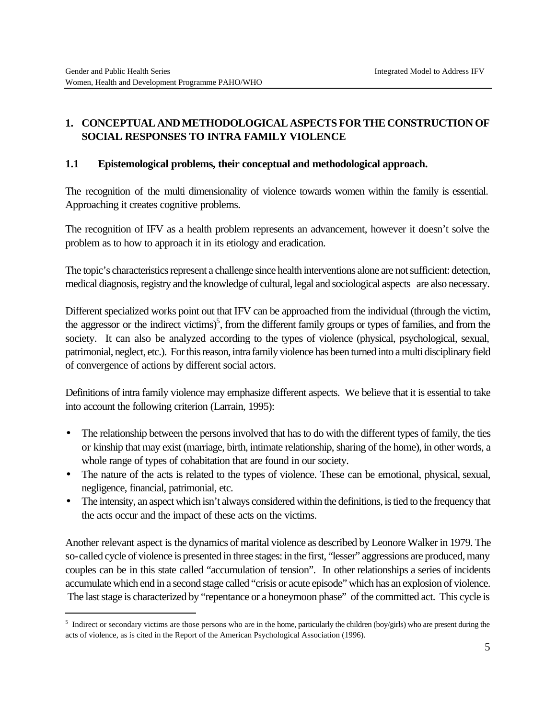$\overline{a}$ 

# **1. CONCEPTUAL AND METHODOLOGICAL ASPECTS FOR THE CONSTRUCTION OF SOCIAL RESPONSES TO INTRA FAMILY VIOLENCE**

### **1.1 Epistemological problems, their conceptual and methodological approach.**

The recognition of the multi dimensionality of violence towards women within the family is essential. Approaching it creates cognitive problems.

The recognition of IFV as a health problem represents an advancement, however it doesn't solve the problem as to how to approach it in its etiology and eradication.

The topic's characteristics represent a challenge since health interventions alone are not sufficient: detection, medical diagnosis, registry and the knowledge of cultural, legal and sociological aspects are also necessary.

Different specialized works point out that IFV can be approached from the individual (through the victim, the aggressor or the indirect victims)<sup>5</sup>, from the different family groups or types of families, and from the society. It can also be analyzed according to the types of violence (physical, psychological, sexual, patrimonial, neglect, etc.). For this reason, intra family violence has been turned into a multi disciplinary field of convergence of actions by different social actors.

Definitions of intra family violence may emphasize different aspects. We believe that it is essential to take into account the following criterion (Larrain, 1995):

- The relationship between the persons involved that has to do with the different types of family, the ties or kinship that may exist (marriage, birth, intimate relationship, sharing of the home), in other words, a whole range of types of cohabitation that are found in our society.
- The nature of the acts is related to the types of violence. These can be emotional, physical, sexual, negligence, financial, patrimonial, etc.
- The intensity, an aspect which isn't always considered within the definitions, is tied to the frequency that the acts occur and the impact of these acts on the victims.

Another relevant aspect is the dynamics of marital violence as described by Leonore Walker in 1979. The so-called cycle of violence is presented in three stages: in the first, "lesser" aggressions are produced, many couples can be in this state called "accumulation of tension". In other relationships a series of incidents accumulate which end in a second stage called "crisis or acute episode" which has an explosion of violence. The last stage is characterized by "repentance or a honeymoon phase" of the committed act. This cycle is

Indirect or secondary victims are those persons who are in the home, particularly the children (boy/girls) who are present during the acts of violence, as is cited in the Report of the American Psychological Association (1996).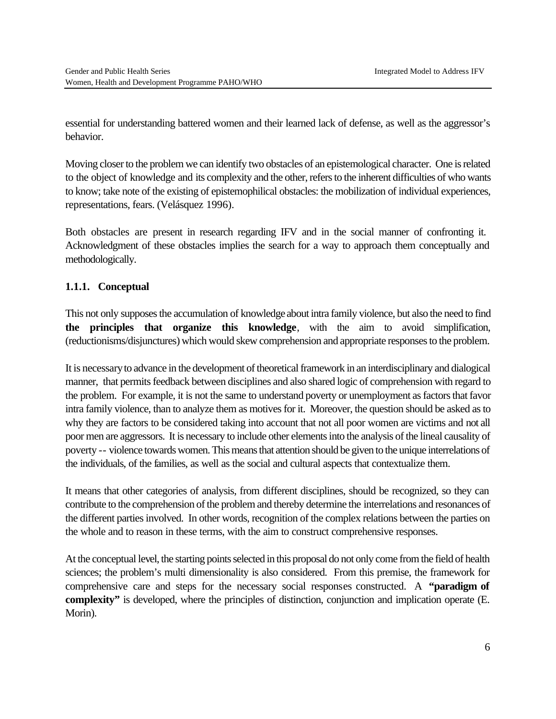essential for understanding battered women and their learned lack of defense, as well as the aggressor's behavior.

Moving closer to the problem we can identify two obstacles of an epistemological character. One is related to the object of knowledge and its complexity and the other, refers to the inherent difficulties of who wants to know; take note of the existing of epistemophilical obstacles: the mobilization of individual experiences, representations, fears. (Velásquez 1996).

Both obstacles are present in research regarding IFV and in the social manner of confronting it. Acknowledgment of these obstacles implies the search for a way to approach them conceptually and methodologically.

# **1.1.1. Conceptual**

This not only supposes the accumulation of knowledge about intra family violence, but also the need to find **the principles that organize this knowledge**, with the aim to avoid simplification, (reductionisms/disjunctures) which would skew comprehension and appropriate responses to the problem.

It is necessary to advance in the development of theoretical framework in an interdisciplinary and dialogical manner, that permits feedback between disciplines and also shared logic of comprehension with regard to the problem. For example, it is not the same to understand poverty or unemployment as factors that favor intra family violence, than to analyze them as motives for it. Moreover, the question should be asked as to why they are factors to be considered taking into account that not all poor women are victims and not all poor men are aggressors. It is necessary to include other elements into the analysis of the lineal causality of poverty -- violence towards women. This means that attention should be given to the unique interrelations of the individuals, of the families, as well as the social and cultural aspects that contextualize them.

It means that other categories of analysis, from different disciplines, should be recognized, so they can contribute to the comprehension of the problem and thereby determine the interrelations and resonances of the different parties involved. In other words, recognition of the complex relations between the parties on the whole and to reason in these terms, with the aim to construct comprehensive responses.

At the conceptual level, the starting points selected in this proposal do not only come from the field of health sciences; the problem's multi dimensionality is also considered. From this premise, the framework for comprehensive care and steps for the necessary social responses constructed. A **"paradigm of complexity"** is developed, where the principles of distinction, conjunction and implication operate (E. Morin).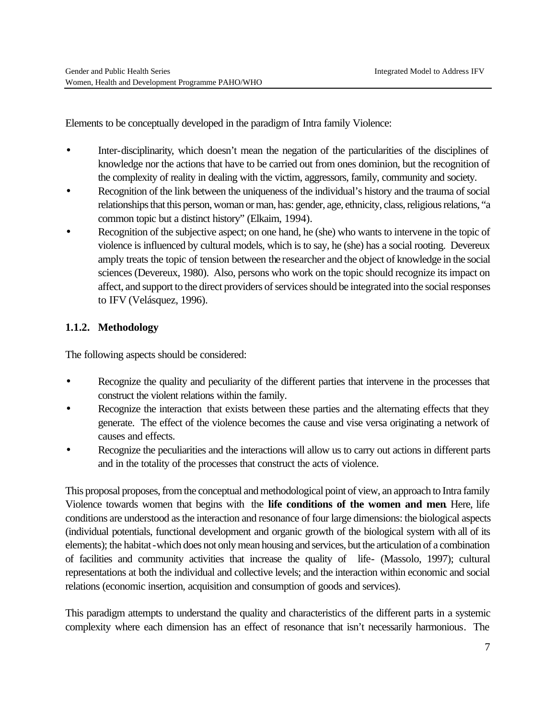Elements to be conceptually developed in the paradigm of Intra family Violence:

- Inter-disciplinarity, which doesn't mean the negation of the particularities of the disciplines of knowledge nor the actions that have to be carried out from ones dominion, but the recognition of the complexity of reality in dealing with the victim, aggressors, family, community and society.
- Recognition of the link between the uniqueness of the individual's history and the trauma of social relationships that this person, woman or man, has: gender, age, ethnicity, class, religious relations, "a common topic but a distinct history" (Elkaim, 1994).
- Recognition of the subjective aspect; on one hand, he (she) who wants to intervene in the topic of violence is influenced by cultural models, which is to say, he (she) has a social rooting. Devereux amply treats the topic of tension between the researcher and the object of knowledge in the social sciences (Devereux, 1980). Also, persons who work on the topic should recognize its impact on affect, and support to the direct providers of services should be integrated into the social responses to IFV (Velásquez, 1996).

# **1.1.2. Methodology**

The following aspects should be considered:

- Recognize the quality and peculiarity of the different parties that intervene in the processes that construct the violent relations within the family.
- Recognize the interaction that exists between these parties and the alternating effects that they generate. The effect of the violence becomes the cause and vise versa originating a network of causes and effects.
- Recognize the peculiarities and the interactions will allow us to carry out actions in different parts and in the totality of the processes that construct the acts of violence.

This proposal proposes, from the conceptual and methodological point of view, an approach to Intra family Violence towards women that begins with the **life conditions of the women and men**. Here, life conditions are understood as the interaction and resonance of four large dimensions: the biological aspects (individual potentials, functional development and organic growth of the biological system with all of its elements); the habitat -which does not only mean housing and services, but the articulation of a combination of facilities and community activities that increase the quality of life- (Massolo, 1997); cultural representations at both the individual and collective levels; and the interaction within economic and social relations (economic insertion, acquisition and consumption of goods and services).

This paradigm attempts to understand the quality and characteristics of the different parts in a systemic complexity where each dimension has an effect of resonance that isn't necessarily harmonious. The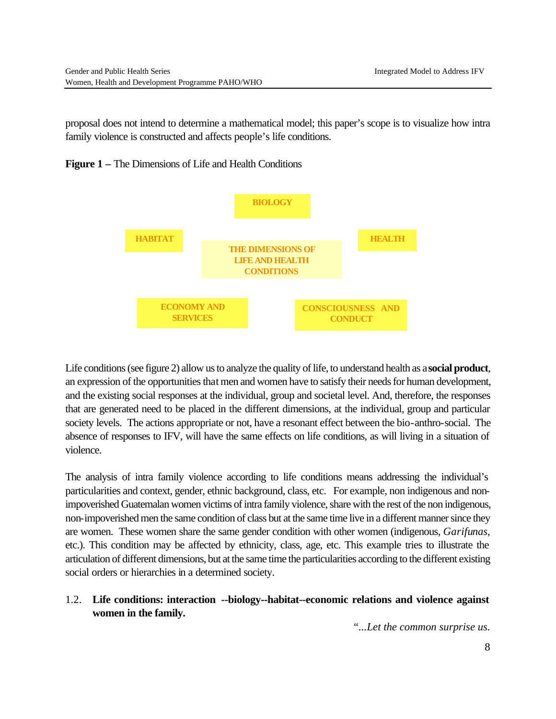proposal does not intend to determine a mathematical model; this paper's scope is to visualize how intra family violence is constructed and affects people's life conditions.

**Figure 1 –** The Dimensions of Life and Health Conditions



Life conditions (see figure 2) allow us to analyze the quality of life, to understand health as a **social product**, an expression of the opportunities that men and women have to satisfy their needs for human development, and the existing social responses at the individual, group and societal level. And, therefore, the responses that are generated need to be placed in the different dimensions, at the individual, group and particular society levels. The actions appropriate or not, have a resonant effect between the bio-anthro-social. The absence of responses to IFV, will have the same effects on life conditions, as will living in a situation of violence.

The analysis of intra family violence according to life conditions means addressing the individual's particularities and context, gender, ethnic background, class, etc. For example, non indigenous and nonimpoverished Guatemalan women victims of intra family violence, share with the rest of the non indigenous, non-impoverished men the same condition of class but at the same time live in a different manner since they are women. These women share the same gender condition with other women (indigenous, *Garifunas*, etc.). This condition may be affected by ethnicity, class, age, etc. This example tries to illustrate the articulation of different dimensions, but at the same time the particularities according to the different existing social orders or hierarchies in a determined society.

# 1.2. **Life conditions: interaction --biology--habitat--economic relations and violence against women in the family.**

*"...Let the common surprise us.*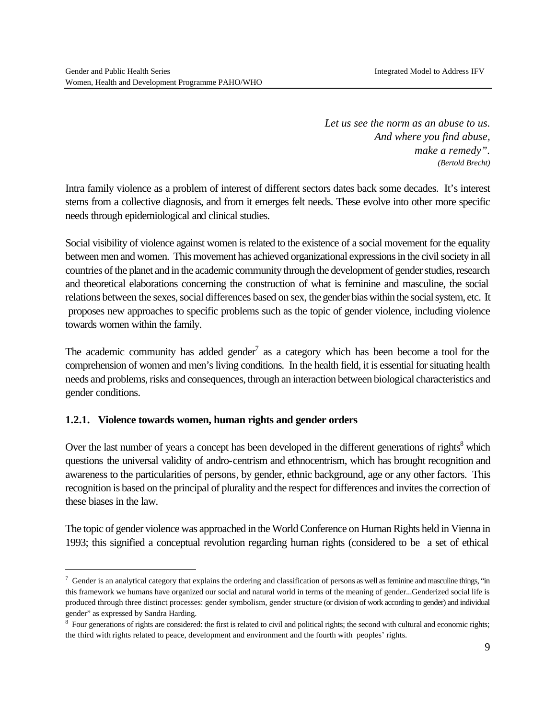*Let us see the norm as an abuse to us. And where you find abuse, make a remedy". (Bertold Brecht)*

Intra family violence as a problem of interest of different sectors dates back some decades. It's interest stems from a collective diagnosis, and from it emerges felt needs. These evolve into other more specific needs through epidemiological and clinical studies.

Social visibility of violence against women is related to the existence of a social movement for the equality between men and women. This movement has achieved organizational expressions in the civil society in all countries of the planet and in the academic community through the development of gender studies, research and theoretical elaborations concerning the construction of what is feminine and masculine, the social relations between the sexes, social differences based on sex, the gender bias within the social system, etc. It proposes new approaches to specific problems such as the topic of gender violence, including violence towards women within the family.

The academic community has added gender<sup>7</sup> as a category which has been become a tool for the comprehension of women and men's living conditions. In the health field, it is essential for situating health needs and problems, risks and consequences, through an interaction between biological characteristics and gender conditions.

#### **1.2.1. Violence towards women, human rights and gender orders**

 $\overline{a}$ 

Over the last number of years a concept has been developed in the different generations of rights<sup>8</sup> which questions the universal validity of andro-centrism and ethnocentrism, which has brought recognition and awareness to the particularities of persons, by gender, ethnic background, age or any other factors. This recognition is based on the principal of plurality and the respect for differences and invites the correction of these biases in the law.

The topic of gender violence was approached in the World Conference on Human Rights held in Vienna in 1993; this signified a conceptual revolution regarding human rights (considered to be a set of ethical

 $^7$  Gender is an analytical category that explains the ordering and classification of persons as well as feminine and masculine things, "in this framework we humans have organized our social and natural world in terms of the meaning of gender...Genderized social life is produced through three distinct processes: gender symbolism, gender structure (or division of work according to gender) and individual gender" as expressed by Sandra Harding.

<sup>&</sup>lt;sup>8</sup> Four generations of rights are considered: the first is related to civil and political rights; the second with cultural and economic rights; the third with rights related to peace, development and environment and the fourth with peoples' rights.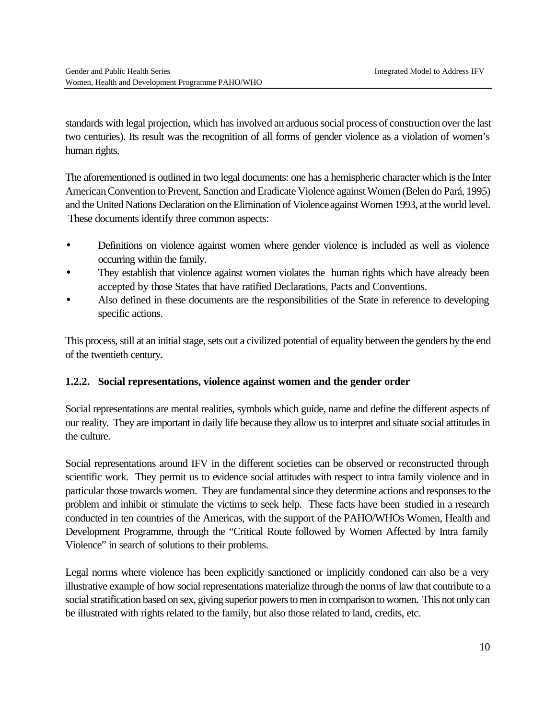standards with legal projection, which has involved an arduous social process of construction over the last two centuries). Its result was the recognition of all forms of gender violence as a violation of women's human rights.

The aforementioned is outlined in two legal documents: one has a hemispheric character which is the Inter American Convention to Prevent, Sanction and Eradicate Violence against Women (Belen do Pará, 1995) and the United Nations Declaration on the Elimination of Violence against Women 1993, at the world level. These documents identify three common aspects:

- Definitions on violence against women where gender violence is included as well as violence occurring within the family.
- They establish that violence against women violates the human rights which have already been accepted by those States that have ratified Declarations, Pacts and Conventions.
- Also defined in these documents are the responsibilities of the State in reference to developing specific actions.

This process, still at an initial stage, sets out a civilized potential of equality between the genders by the end of the twentieth century.

# **1.2.2. Social representations, violence against women and the gender order**

Social representations are mental realities, symbols which guide, name and define the different aspects of our reality. They are important in daily life because they allow us to interpret and situate social attitudes in the culture.

Social representations around IFV in the different societies can be observed or reconstructed through scientific work. They permit us to evidence social attitudes with respect to intra family violence and in particular those towards women. They are fundamental since they determine actions and responses to the problem and inhibit or stimulate the victims to seek help. These facts have been studied in a research conducted in ten countries of the Americas, with the support of the PAHO/WHOs Women, Health and Development Programme, through the "Critical Route followed by Women Affected by Intra family Violence" in search of solutions to their problems.

Legal norms where violence has been explicitly sanctioned or implicitly condoned can also be a very illustrative example of how social representations materialize through the norms of law that contribute to a social stratification based on sex, giving superior powers to men in comparison to women. This not only can be illustrated with rights related to the family, but also those related to land, credits, etc.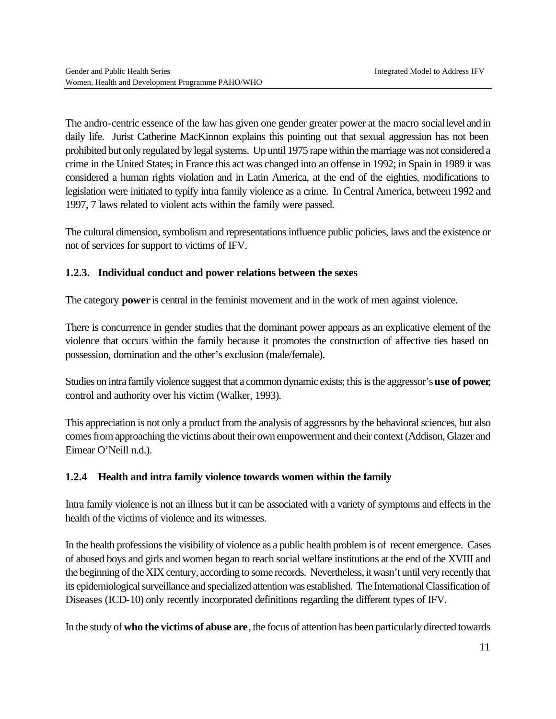The andro-centric essence of the law has given one gender greater power at the macro social level and in daily life. Jurist Catherine MacKinnon explains this pointing out that sexual aggression has not been prohibited but only regulated by legal systems. Up until 1975 rape within the marriage was not considered a crime in the United States; in France this act was changed into an offense in 1992; in Spain in 1989 it was considered a human rights violation and in Latin America, at the end of the eighties, modifications to legislation were initiated to typify intra family violence as a crime. In Central America, between 1992 and 1997, 7 laws related to violent acts within the family were passed.

The cultural dimension, symbolism and representations influence public policies, laws and the existence or not of services for support to victims of IFV.

# **1.2.3. Individual conduct and power relations between the sexes**

The category **power** is central in the feminist movement and in the work of men against violence.

There is concurrence in gender studies that the dominant power appears as an explicative element of the violence that occurs within the family because it promotes the construction of affective ties based on possession, domination and the other's exclusion (male/female).

Studies on intra family violence suggest that a common dynamic exists; this is the aggressor's **use of power**, control and authority over his victim (Walker, 1993).

This appreciation is not only a product from the analysis of aggressors by the behavioral sciences, but also comes from approaching the victims about their own empowerment and their context (Addison, Glazer and Eimear O'Neill n.d.).

# **1.2.4 Health and intra family violence towards women within the family**

Intra family violence is not an illness but it can be associated with a variety of symptoms and effects in the health of the victims of violence and its witnesses.

In the health professions the visibility of violence as a public health problem is of recent emergence. Cases of abused boys and girls and women began to reach social welfare institutions at the end of the XVIII and the beginning of the XIX century, according to some records. Nevertheless, it wasn't until very recently that its epidemiological surveillance and specialized attention was established. The International Classification of Diseases (ICD-10) only recently incorporated definitions regarding the different types of IFV.

In the study of **who the victims of abuse are**, the focus of attention has been particularly directed towards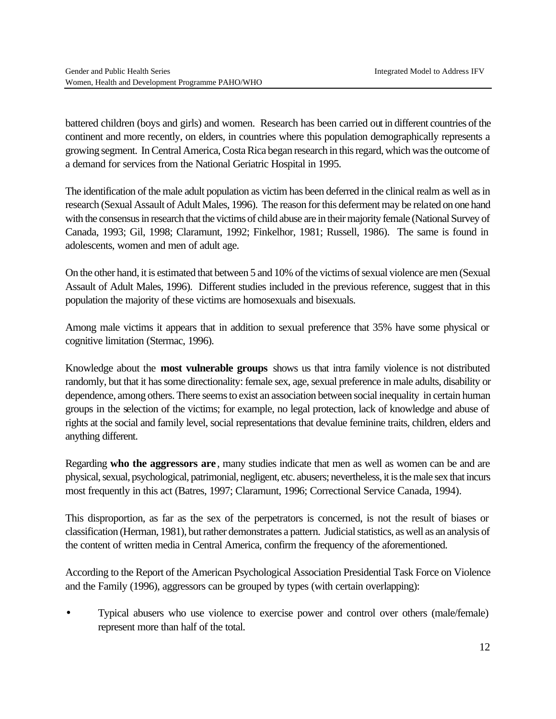battered children (boys and girls) and women. Research has been carried out in different countries of the continent and more recently, on elders, in countries where this population demographically represents a growing segment. In Central America, Costa Rica began research in this regard, which was the outcome of a demand for services from the National Geriatric Hospital in 1995.

The identification of the male adult population as victim has been deferred in the clinical realm as well as in research (Sexual Assault of Adult Males, 1996). The reason for this deferment may be related on one hand with the consensus in research that the victims of child abuse are in their majority female (National Survey of Canada, 1993; Gil, 1998; Claramunt, 1992; Finkelhor, 1981; Russell, 1986). The same is found in adolescents, women and men of adult age.

On the other hand, it is estimated that between 5 and 10% of the victims of sexual violence are men (Sexual Assault of Adult Males, 1996). Different studies included in the previous reference, suggest that in this population the majority of these victims are homosexuals and bisexuals.

Among male victims it appears that in addition to sexual preference that 35% have some physical or cognitive limitation (Stermac, 1996).

Knowledge about the **most vulnerable groups** shows us that intra family violence is not distributed randomly, but that it has some directionality: female sex, age, sexual preference in male adults, disability or dependence, among others. There seems to exist an association between social inequality in certain human groups in the selection of the victims; for example, no legal protection, lack of knowledge and abuse of rights at the social and family level, social representations that devalue feminine traits, children, elders and anything different.

Regarding **who the aggressors are** , many studies indicate that men as well as women can be and are physical, sexual, psychological, patrimonial, negligent, etc. abusers; nevertheless, it is the male sex that incurs most frequently in this act (Batres, 1997; Claramunt, 1996; Correctional Service Canada, 1994).

This disproportion, as far as the sex of the perpetrators is concerned, is not the result of biases or classification (Herman, 1981), but rather demonstrates a pattern. Judicial statistics, as well as an analysis of the content of written media in Central America, confirm the frequency of the aforementioned.

According to the Report of the American Psychological Association Presidential Task Force on Violence and the Family (1996), aggressors can be grouped by types (with certain overlapping):

• Typical abusers who use violence to exercise power and control over others (male/female) represent more than half of the total.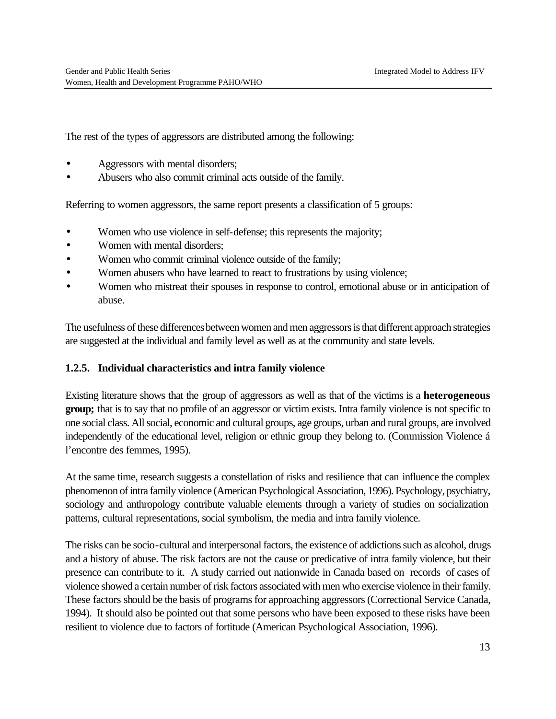The rest of the types of aggressors are distributed among the following:

- Aggressors with mental disorders;
- Abusers who also commit criminal acts outside of the family.

Referring to women aggressors, the same report presents a classification of 5 groups:

- Women who use violence in self-defense; this represents the majority;
- Women with mental disorders:
- Women who commit criminal violence outside of the family;
- Women abusers who have learned to react to frustrations by using violence;
- Women who mistreat their spouses in response to control, emotional abuse or in anticipation of abuse.

The usefulness of these differences between women and men aggressors is that different approach strategies are suggested at the individual and family level as well as at the community and state levels.

#### **1.2.5. Individual characteristics and intra family violence**

Existing literature shows that the group of aggressors as well as that of the victims is a **heterogeneous group;** that is to say that no profile of an aggressor or victim exists. Intra family violence is not specific to one social class. All social, economic and cultural groups, age groups, urban and rural groups, are involved independently of the educational level, religion or ethnic group they belong to. (Commission Violence á l'encontre des femmes, 1995).

At the same time, research suggests a constellation of risks and resilience that can influence the complex phenomenon of intra family violence (American Psychological Association, 1996). Psychology, psychiatry, sociology and anthropology contribute valuable elements through a variety of studies on socialization patterns, cultural representations, social symbolism, the media and intra family violence.

The risks can be socio-cultural and interpersonal factors, the existence of addictions such as alcohol, drugs and a history of abuse. The risk factors are not the cause or predicative of intra family violence, but their presence can contribute to it. A study carried out nationwide in Canada based on records of cases of violence showed a certain number of risk factors associated with men who exercise violence in their family. These factors should be the basis of programs for approaching aggressors (Correctional Service Canada, 1994). It should also be pointed out that some persons who have been exposed to these risks have been resilient to violence due to factors of fortitude (American Psychological Association, 1996).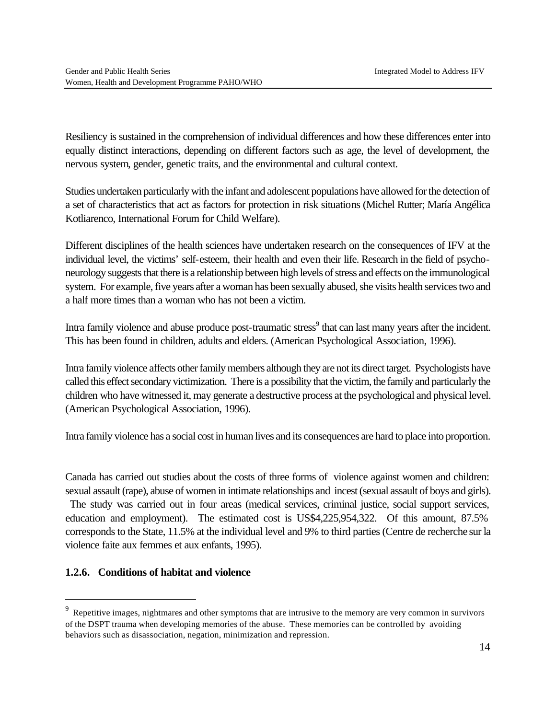Resiliency is sustained in the comprehension of individual differences and how these differences enter into equally distinct interactions, depending on different factors such as age, the level of development, the nervous system, gender, genetic traits, and the environmental and cultural context.

Studies undertaken particularly with the infant and adolescent populations have allowed for the detection of a set of characteristics that act as factors for protection in risk situations (Michel Rutter; María Angélica Kotliarenco, International Forum for Child Welfare).

Different disciplines of the health sciences have undertaken research on the consequences of IFV at the individual level, the victims' self-esteem, their health and even their life. Research in the field of psychoneurology suggests that there is a relationship between high levels of stress and effects on the immunological system. For example, five years after a woman has been sexually abused, she visits health services two and a half more times than a woman who has not been a victim.

Intra family violence and abuse produce post-traumatic stress<sup>9</sup> that can last many years after the incident. This has been found in children, adults and elders. (American Psychological Association, 1996).

Intra family violence affects other family members although they are not its direct target. Psychologists have called this effect secondary victimization. There is a possibility that the victim, the family and particularly the children who have witnessed it, may generate a destructive process at the psychological and physical level. (American Psychological Association, 1996).

Intra family violence has a social cost in human lives and its consequences are hard to place into proportion.

Canada has carried out studies about the costs of three forms of violence against women and children: sexual assault (rape), abuse of women in intimate relationships and incest (sexual assault of boys and girls).

 The study was carried out in four areas (medical services, criminal justice, social support services, education and employment). The estimated cost is US\$4,225,954,322. Of this amount, 87.5% corresponds to the State, 11.5% at the individual level and 9% to third parties (Centre de recherche sur la violence faite aux femmes et aux enfants, 1995).

# **1.2.6. Conditions of habitat and violence**

 $\overline{a}$ 

 $9\text{}$  Repetitive images, nightmares and other symptoms that are intrusive to the memory are very common in survivors of the DSPT trauma when developing memories of the abuse. These memories can be controlled by avoiding behaviors such as disassociation, negation, minimization and repression.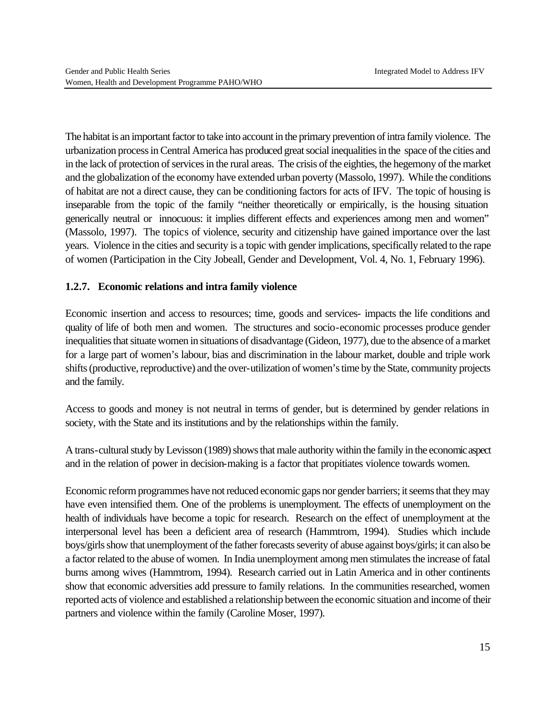The habitat is an important factor to take into account in the primary prevention of intra family violence. The urbanization process in Central America has produced great social inequalities in the space of the cities and in the lack of protection of services in the rural areas. The crisis of the eighties, the hegemony of the market and the globalization of the economy have extended urban poverty (Massolo, 1997). While the conditions of habitat are not a direct cause, they can be conditioning factors for acts of IFV. The topic of housing is inseparable from the topic of the family "neither theoretically or empirically, is the housing situation generically neutral or innocuous: it implies different effects and experiences among men and women" (Massolo, 1997). The topics of violence, security and citizenship have gained importance over the last years. Violence in the cities and security is a topic with gender implications, specifically related to the rape of women (Participation in the City Jobeall, Gender and Development, Vol. 4, No. 1, February 1996).

# **1.2.7. Economic relations and intra family violence**

Economic insertion and access to resources; time, goods and services- impacts the life conditions and quality of life of both men and women. The structures and socio-economic processes produce gender inequalities that situate women in situations of disadvantage (Gideon, 1977), due to the absence of a market for a large part of women's labour, bias and discrimination in the labour market, double and triple work shifts (productive, reproductive) and the over-utilization of women's time by the State, community projects and the family.

Access to goods and money is not neutral in terms of gender, but is determined by gender relations in society, with the State and its institutions and by the relationships within the family.

A trans-cultural study by Levisson (1989) shows that male authority within the family in the economic aspect and in the relation of power in decision-making is a factor that propitiates violence towards women.

Economic reform programmes have not reduced economic gaps nor gender barriers; it seems that they may have even intensified them. One of the problems is unemployment. The effects of unemployment on the health of individuals have become a topic for research. Research on the effect of unemployment at the interpersonal level has been a deficient area of research (Hammtrom, 1994). Studies which include boys/girls show that unemployment of the father forecasts severity of abuse against boys/girls; it can also be a factor related to the abuse of women. In India unemployment among men stimulates the increase of fatal burns among wives (Hammtrom, 1994). Research carried out in Latin America and in other continents show that economic adversities add pressure to family relations. In the communities researched, women reported acts of violence and established a relationship between the economic situation and income of their partners and violence within the family (Caroline Moser, 1997).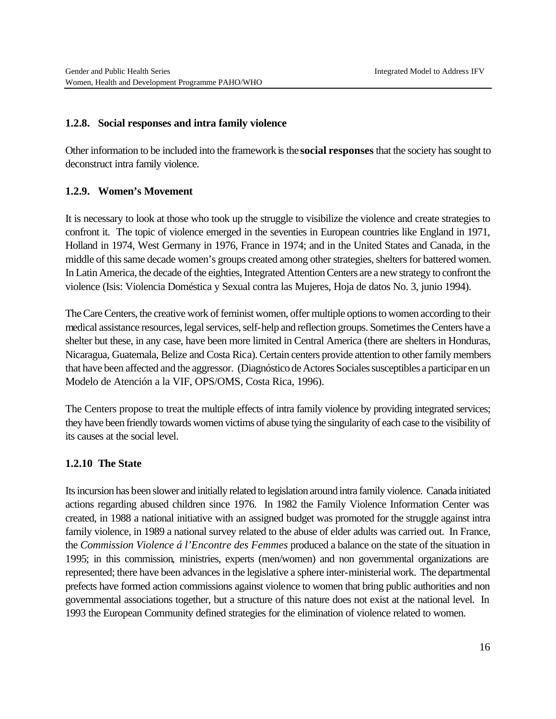#### **1.2.8. Social responses and intra family violence**

Other information to be included into the framework is the **social responses** that the society has sought to deconstruct intra family violence.

#### **1.2.9. Women's Movement**

It is necessary to look at those who took up the struggle to visibilize the violence and create strategies to confront it. The topic of violence emerged in the seventies in European countries like England in 1971, Holland in 1974, West Germany in 1976, France in 1974; and in the United States and Canada, in the middle of this same decade women's groups created among other strategies, shelters for battered women. In Latin America, the decade of the eighties, Integrated Attention Centers are a new strategy to confront the violence (Isis: Violencia Doméstica y Sexual contra las Mujeres, Hoja de datos No. 3, junio 1994).

The Care Centers, the creative work of feminist women, offer multiple options to women according to their medical assistance resources, legal services, self-help and reflection groups. Sometimes the Centers have a shelter but these, in any case, have been more limited in Central America (there are shelters in Honduras, Nicaragua, Guatemala, Belize and Costa Rica). Certain centers provide attention to other family members that have been affected and the aggressor. (Diagnóstico de Actores Sociales susceptibles a participar en un Modelo de Atención a la VIF, OPS/OMS, Costa Rica, 1996).

The Centers propose to treat the multiple effects of intra family violence by providing integrated services; they have been friendly towards women victims of abuse tying the singularity of each case to the visibility of its causes at the social level.

#### **1.2.10 The State**

Its incursion has been slower and initially related to legislation around intra family violence. Canada initiated actions regarding abused children since 1976. In 1982 the Family Violence Information Center was created, in 1988 a national initiative with an assigned budget was promoted for the struggle against intra family violence, in 1989 a national survey related to the abuse of elder adults was carried out. In France, the *Commission Violence á l'Encontre des Femmes* produced a balance on the state of the situation in 1995; in this commission, ministries, experts (men/women) and non governmental organizations are represented; there have been advances in the legislative a sphere inter-ministerial work. The departmental prefects have formed action commissions against violence to women that bring public authorities and non governmental associations together, but a structure of this nature does not exist at the national level. In 1993 the European Community defined strategies for the elimination of violence related to women.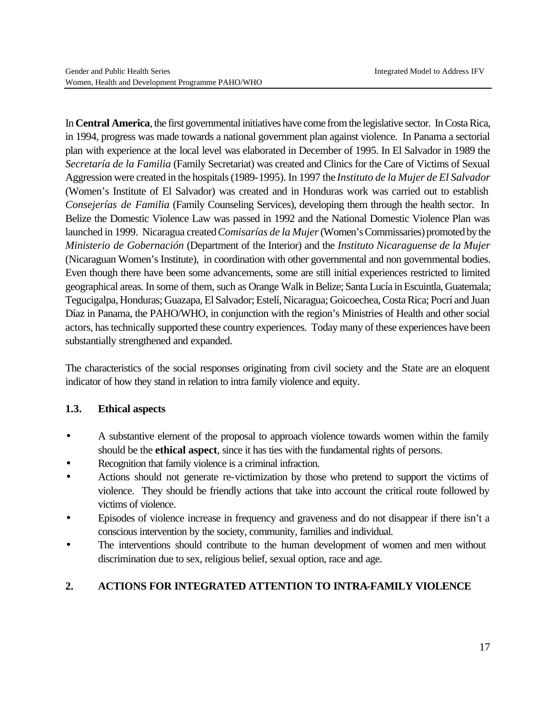In **Central America**, the first governmental initiatives have come from the legislative sector. In Costa Rica, in 1994, progress was made towards a national government plan against violence. In Panama a sectorial plan with experience at the local level was elaborated in December of 1995. In El Salvador in 1989 the *Secretaría de la Familia* (Family Secretariat) was created and Clinics for the Care of Victims of Sexual Aggression were created in the hospitals (1989-1995). In 1997 the *Instituto de la Mujer de El Salvador* (Women's Institute of El Salvador) was created and in Honduras work was carried out to establish *Consejerías de Familia* (Family Counseling Services), developing them through the health sector. In Belize the Domestic Violence Law was passed in 1992 and the National Domestic Violence Plan was launched in 1999. Nicaragua created *Comisarías de la Mujer* (Women's Commissaries) promoted by the *Ministerio de Gobernación* (Department of the Interior) and the *Instituto Nicaraguense de la Mujer* (Nicaraguan Women's Institute), in coordination with other governmental and non governmental bodies. Even though there have been some advancements, some are still initial experiences restricted to limited geographical areas. In some of them, such as Orange Walk in Belize; Santa Lucía in Escuintla, Guatemala; Tegucigalpa, Honduras; Guazapa, El Salvador; Estelí, Nicaragua; Goicoechea, Costa Rica; Pocrí and Juan Díaz in Panama, the PAHO/WHO, in conjunction with the region's Ministries of Health and other social actors, has technically supported these country experiences. Today many of these experiences have been substantially strengthened and expanded.

The characteristics of the social responses originating from civil society and the State are an eloquent indicator of how they stand in relation to intra family violence and equity.

# **1.3. Ethical aspects**

- A substantive element of the proposal to approach violence towards women within the family should be the **ethical aspect**, since it has ties with the fundamental rights of persons.
- Recognition that family violence is a criminal infraction.
- Actions should not generate re-victimization by those who pretend to support the victims of violence. They should be friendly actions that take into account the critical route followed by victims of violence.
- Episodes of violence increase in frequency and graveness and do not disappear if there isn't a conscious intervention by the society, community, families and individual.
- The interventions should contribute to the human development of women and men without discrimination due to sex, religious belief, sexual option, race and age.

# **2. ACTIONS FOR INTEGRATED ATTENTION TO INTRA-FAMILY VIOLENCE**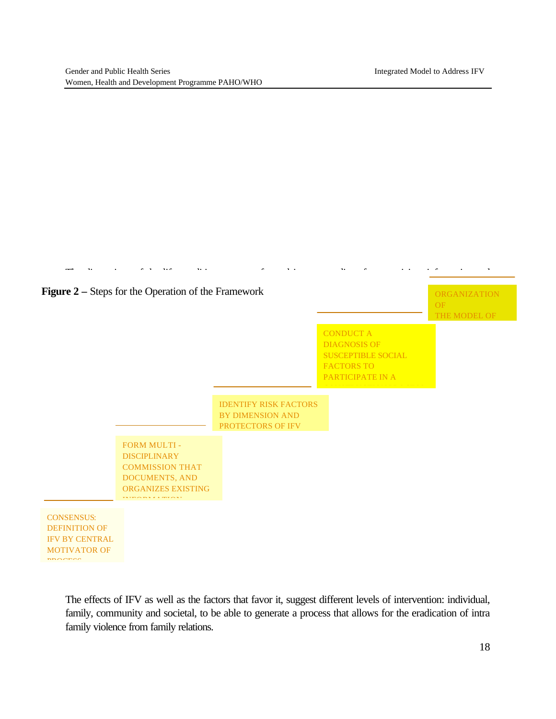

The effects of IFV as well as the factors that favor it, suggest different levels of intervention: individual, family, community and societal, to be able to generate a process that allows for the eradication of intra family violence from family relations.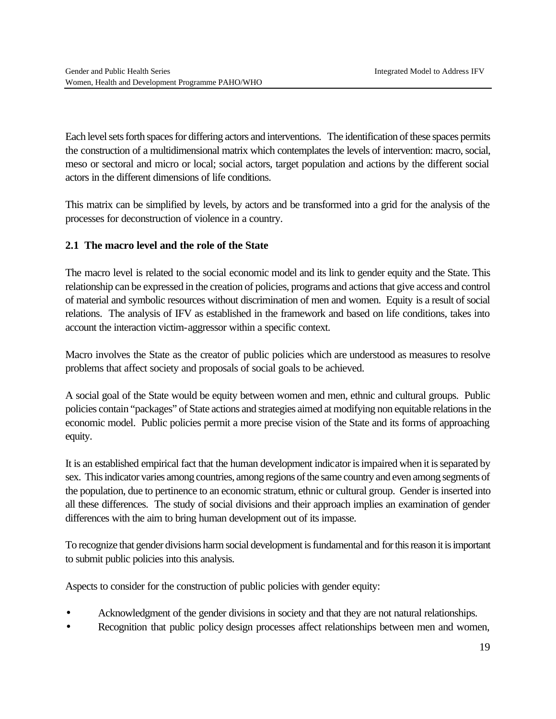Each level sets forth spaces for differing actors and interventions. The identification of these spaces permits the construction of a multidimensional matrix which contemplates the levels of intervention: macro, social, meso or sectoral and micro or local; social actors, target population and actions by the different social actors in the different dimensions of life conditions.

This matrix can be simplified by levels, by actors and be transformed into a grid for the analysis of the processes for deconstruction of violence in a country.

# **2.1 The macro level and the role of the State**

The macro level is related to the social economic model and its link to gender equity and the State. This relationship can be expressed in the creation of policies, programs and actions that give access and control of material and symbolic resources without discrimination of men and women. Equity is a result of social relations. The analysis of IFV as established in the framework and based on life conditions, takes into account the interaction victim-aggressor within a specific context.

Macro involves the State as the creator of public policies which are understood as measures to resolve problems that affect society and proposals of social goals to be achieved.

A social goal of the State would be equity between women and men, ethnic and cultural groups. Public policies contain "packages" of State actions and strategies aimed at modifying non equitable relations in the economic model. Public policies permit a more precise vision of the State and its forms of approaching equity.

It is an established empirical fact that the human development indicator is impaired when it is separated by sex. This indicator varies among countries, among regions of the same country and even among segments of the population, due to pertinence to an economic stratum, ethnic or cultural group. Gender is inserted into all these differences. The study of social divisions and their approach implies an examination of gender differences with the aim to bring human development out of its impasse.

To recognize that gender divisions harm social development is fundamental and for this reason it is important to submit public policies into this analysis.

Aspects to consider for the construction of public policies with gender equity:

- Acknowledgment of the gender divisions in society and that they are not natural relationships.
- Recognition that public policy design processes affect relationships between men and women,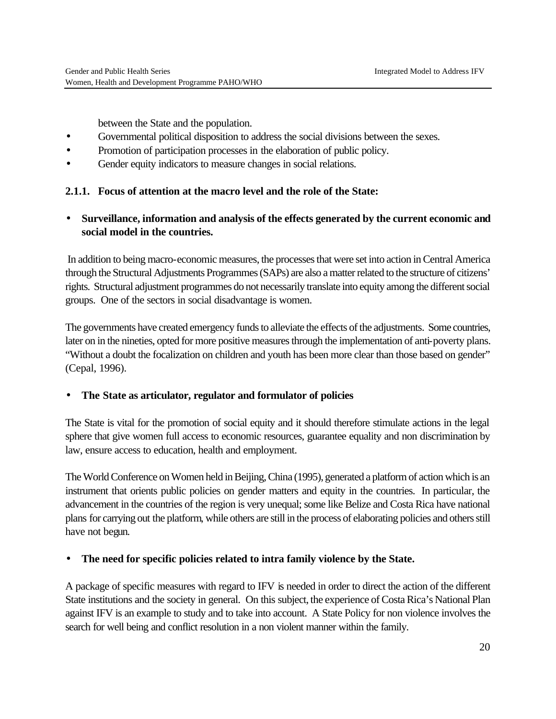between the State and the population.

- Governmental political disposition to address the social divisions between the sexes.
- Promotion of participation processes in the elaboration of public policy.
- Gender equity indicators to measure changes in social relations.

#### **2.1.1. Focus of attention at the macro level and the role of the State:**

# • **Surveillance, information and analysis of the effects generated by the current economic and social model in the countries.**

 In addition to being macro-economic measures, the processes that were set into action in Central America through the Structural Adjustments Programmes (SAPs) are also a matter related to the structure of citizens' rights. Structural adjustment programmes do not necessarily translate into equity among the different social groups. One of the sectors in social disadvantage is women.

The governments have created emergency funds to alleviate the effects of the adjustments. Some countries, later on in the nineties, opted for more positive measures through the implementation of anti-poverty plans. "Without a doubt the focalization on children and youth has been more clear than those based on gender" (Cepal, 1996).

#### • **The State as articulator, regulator and formulator of policies**

The State is vital for the promotion of social equity and it should therefore stimulate actions in the legal sphere that give women full access to economic resources, guarantee equality and non discrimination by law, ensure access to education, health and employment.

The World Conference on Women held in Beijing, China (1995), generated a platform of action which is an instrument that orients public policies on gender matters and equity in the countries. In particular, the advancement in the countries of the region is very unequal; some like Belize and Costa Rica have national plans for carrying out the platform, while others are still in the process of elaborating policies and others still have not begun.

#### • **The need for specific policies related to intra family violence by the State.**

A package of specific measures with regard to IFV is needed in order to direct the action of the different State institutions and the society in general. On this subject, the experience of Costa Rica's National Plan against IFV is an example to study and to take into account. A State Policy for non violence involves the search for well being and conflict resolution in a non violent manner within the family.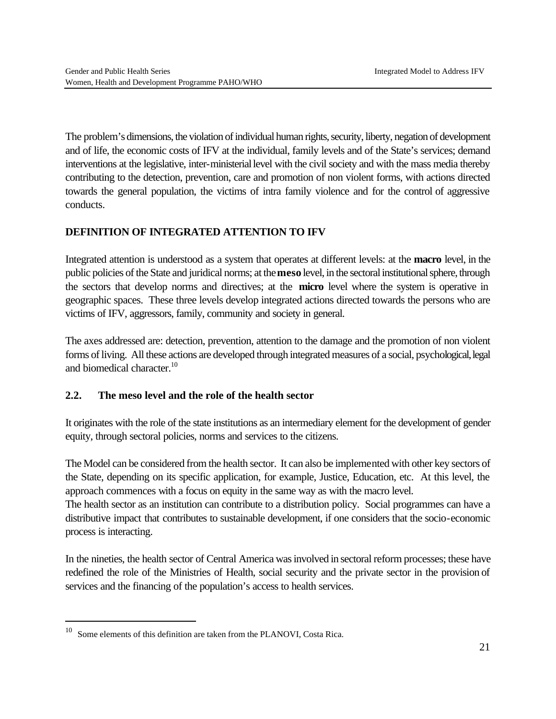The problem's dimensions, the violation of individual human rights, security, liberty, negation of development and of life, the economic costs of IFV at the individual, family levels and of the State's services; demand interventions at the legislative, inter-ministerial level with the civil society and with the mass media thereby contributing to the detection, prevention, care and promotion of non violent forms, with actions directed towards the general population, the victims of intra family violence and for the control of aggressive conducts.

# **DEFINITION OF INTEGRATED ATTENTION TO IFV**

Integrated attention is understood as a system that operates at different levels: at the **macro** level, in the public policies of the State and juridical norms; at the **meso** level, in the sectoral institutional sphere, through the sectors that develop norms and directives; at the **micro** level where the system is operative in geographic spaces. These three levels develop integrated actions directed towards the persons who are victims of IFV, aggressors, family, community and society in general.

The axes addressed are: detection, prevention, attention to the damage and the promotion of non violent forms of living. All these actions are developed through integrated measures of a social, psychological, legal and biomedical character.<sup>10</sup>

#### **2.2. The meso level and the role of the health sector**

It originates with the role of the state institutions as an intermediary element for the development of gender equity, through sectoral policies, norms and services to the citizens.

The Model can be considered from the health sector. It can also be implemented with other key sectors of the State, depending on its specific application, for example, Justice, Education, etc. At this level, the approach commences with a focus on equity in the same way as with the macro level.

The health sector as an institution can contribute to a distribution policy. Social programmes can have a distributive impact that contributes to sustainable development, if one considers that the socio-economic process is interacting.

In the nineties, the health sector of Central America was involved in sectoral reform processes; these have redefined the role of the Ministries of Health, social security and the private sector in the provision of services and the financing of the population's access to health services.

 $\overline{a}$ 

<sup>10</sup> Some elements of this definition are taken from the PLANOVI, Costa Rica.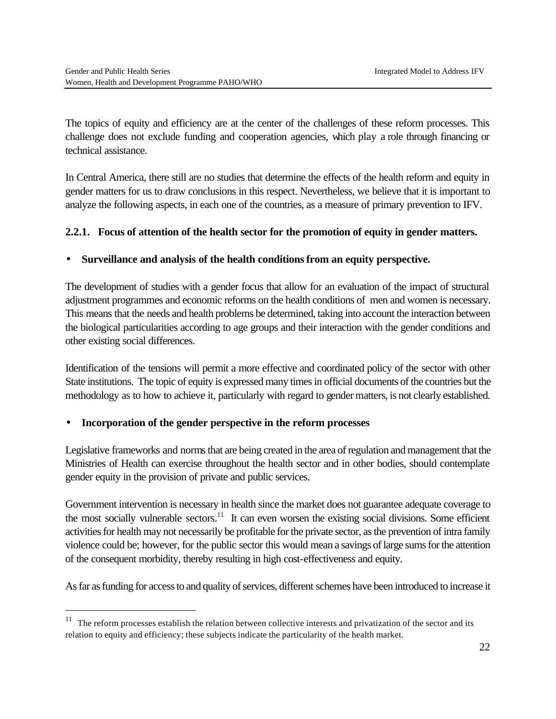The topics of equity and efficiency are at the center of the challenges of these reform processes. This challenge does not exclude funding and cooperation agencies, which play a role through financing or technical assistance.

In Central America, there still are no studies that determine the effects of the health reform and equity in gender matters for us to draw conclusions in this respect. Nevertheless, we believe that it is important to analyze the following aspects, in each one of the countries, as a measure of primary prevention to IFV.

# **2.2.1. Focus of attention of the health sector for the promotion of equity in gender matters.**

#### • **Surveillance and analysis of the health conditions from an equity perspective.**

The development of studies with a gender focus that allow for an evaluation of the impact of structural adjustment programmes and economic reforms on the health conditions of men and women is necessary. This means that the needs and health problems be determined, taking into account the interaction between the biological particularities according to age groups and their interaction with the gender conditions and other existing social differences.

Identification of the tensions will permit a more effective and coordinated policy of the sector with other State institutions. The topic of equity is expressed many times in official documents of the countries but the methodology as to how to achieve it, particularly with regard to gender matters, is not clearly established.

#### • **Incorporation of the gender perspective in the reform processes**

 $\overline{a}$ 

Legislative frameworks and norms that are being created in the area of regulation and management that the Ministries of Health can exercise throughout the health sector and in other bodies, should contemplate gender equity in the provision of private and public services.

Government intervention is necessary in health since the market does not guarantee adequate coverage to the most socially vulnerable sectors.<sup>11</sup> It can even worsen the existing social divisions. Some efficient activities for health may not necessarily be profitable for the private sector, as the prevention of intra family violence could be; however, for the public sector this would mean a savings of large sums for the attention of the consequent morbidity, thereby resulting in high cost-effectiveness and equity.

As far as funding for access to and quality of services, different schemes have been introduced to increase it

<sup>&</sup>lt;sup>11</sup> The reform processes establish the relation between collective interests and privatization of the sector and its relation to equity and efficiency; these subjects indicate the particularity of the health market.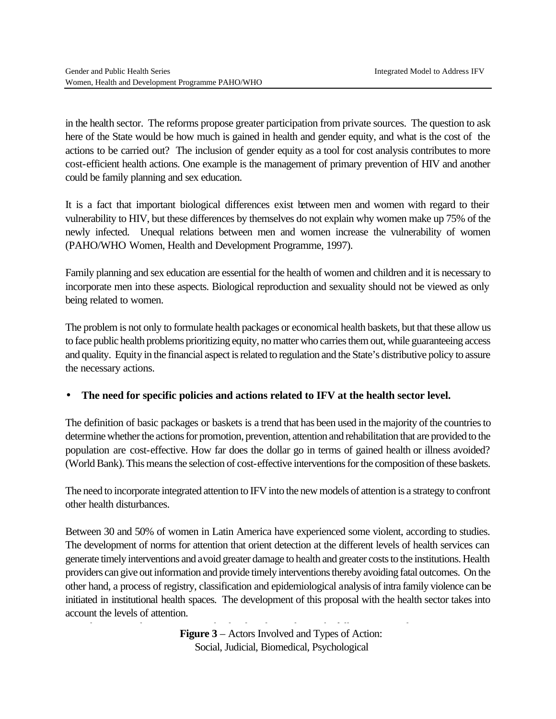in the health sector. The reforms propose greater participation from private sources. The question to ask here of the State would be how much is gained in health and gender equity, and what is the cost of the actions to be carried out? The inclusion of gender equity as a tool for cost analysis contributes to more cost-efficient health actions. One example is the management of primary prevention of HIV and another could be family planning and sex education.

It is a fact that important biological differences exist between men and women with regard to their vulnerability to HIV, but these differences by themselves do not explain why women make up 75% of the newly infected. Unequal relations between men and women increase the vulnerability of women (PAHO/WHO Women, Health and Development Programme, 1997).

Family planning and sex education are essential for the health of women and children and it is necessary to incorporate men into these aspects. Biological reproduction and sexuality should not be viewed as only being related to women.

The problem is not only to formulate health packages or economical health baskets, but that these allow us to face public health problems prioritizing equity, no matter who carries them out, while guaranteeing access and quality. Equity in the financial aspect is related to regulation and the State's distributive policy to assure the necessary actions.

# • **The need for specific policies and actions related to IFV at the health sector level.**

The definition of basic packages or baskets is a trend that has been used in the majority of the countries to determine whether the actions for promotion, prevention, attention and rehabilitation that are provided to the population are cost-effective. How far does the dollar go in terms of gained health or illness avoided? (World Bank). This means the selection of cost-effective interventions for the composition of these baskets.

The need to incorporate integrated attention to IFV into the new models of attention is a strategy to confront other health disturbances.

Between 30 and 50% of women in Latin America have experienced some violent, according to studies. The development of norms for attention that orient detection at the different levels of health services can generate timely interventions and avoid greater damage to health and greater costs to the institutions. Health providers can give out information and provide timely interventions thereby avoiding fatal outcomes. On the other hand, a process of registry, classification and epidemiological analysis of intra family violence can be initiated in institutional health spaces. The development of this proposal with the health sector takes into account the levels of attention.

> Figure 3 – Actors Involved and Types of Action: Social, Judicial, Biomedical, Psychological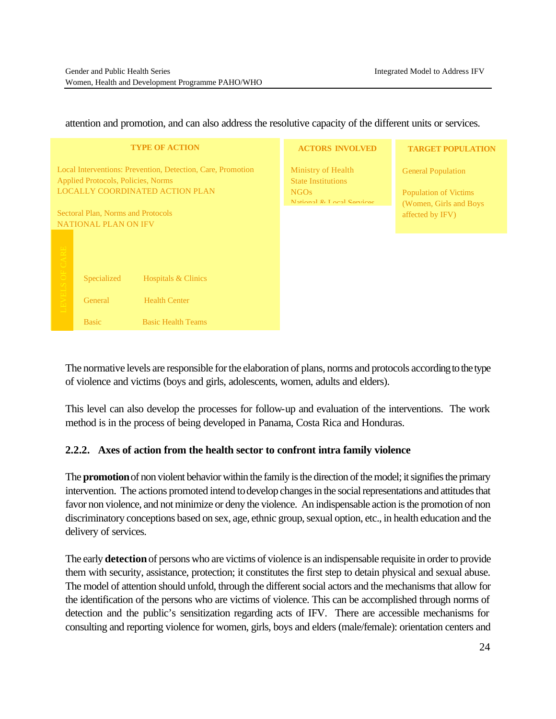**TARGET POPULATION**

General Population

Population of Victims (Women, Girls and Boys affected by IFV)

**ACTORS INVOLVED** Ministry of Health State Institutions NGOs  $National$   $R_{1}$  and  $R_{2}$ **TYPE OF ACTION** Local Interventions: Prevention, Detection, Care, Promotion Applied Protocols, Policies, Norms LOCALLY COORDINATED ACTION PLAN Sectoral Plan, Norms and Protocols NATIONAL PLAN ON IFV Specialized Hospitals & Clinics General Health Center Basic Basic Hospitals & Clinics<br>
Specialized Health Center<br>
Basic Basic Health Teams

attention and promotion, and can also address the resolutive capacity of the different units or services.

# The normative levels are responsible for the elaboration of plans, norms and protocols according to the type

This level can also develop the processes for follow-up and evaluation of the interventions. The work method is in the process of being developed in Panama, Costa Rica and Honduras.

#### **2.2.2. Axes of action from the health sector to confront intra family violence**

of violence and victims (boys and girls, adolescents, women, adults and elders).

The **promotion** of non violent behavior within the family is the direction of the model; it signifies the primary intervention. The actions promoted intend to develop changes in the social representations and attitudes that favor non violence, and not minimize or deny the violence. An indispensable action is the promotion of non discriminatory conceptions based on sex, age, ethnic group, sexual option, etc., in health education and the delivery of services.

The early **detection** of persons who are victims of violence is an indispensable requisite in order to provide them with security, assistance, protection; it constitutes the first step to detain physical and sexual abuse. The model of attention should unfold, through the different social actors and the mechanisms that allow for the identification of the persons who are victims of violence. This can be accomplished through norms of detection and the public's sensitization regarding acts of IFV. There are accessible mechanisms for consulting and reporting violence for women, girls, boys and elders (male/female): orientation centers and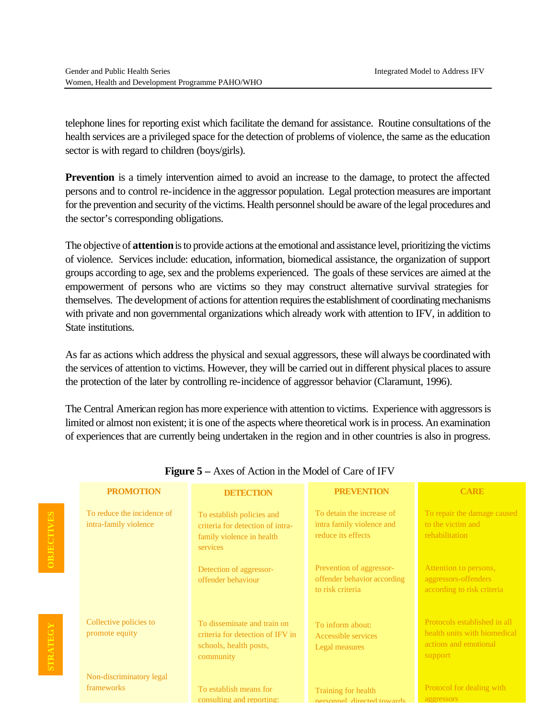**OBJECTIVES**

**OBJECTIVE** 

**STRATEGY**

TRATEGY

telephone lines for reporting exist which facilitate the demand for assistance. Routine consultations of the health services are a privileged space for the detection of problems of violence, the same as the education sector is with regard to children (boys/girls).

**Prevention** is a timely intervention aimed to avoid an increase to the damage, to protect the affected persons and to control re-incidence in the aggressor population. Legal protection measures are important for the prevention and security of the victims. Health personnel should be aware of the legal procedures and the sector's corresponding obligations.

The objective of **attention** is to provide actions at the emotional and assistance level, prioritizing the victims of violence. Services include: education, information, biomedical assistance, the organization of support groups according to age, sex and the problems experienced. The goals of these services are aimed at the empowerment of persons who are victims so they may construct alternative survival strategies for themselves. The development of actions for attention requires the establishment of coordinating mechanisms with private and non governmental organizations which already work with attention to IFV, in addition to State institutions.

As far as actions which address the physical and sexual aggressors, these will always be coordinated with the services of attention to victims. However, they will be carried out in different physical places to assure the protection of the later by controlling re-incidence of aggressor behavior (Claramunt, 1996).

The Central American region has more experience with attention to victims. Experience with aggressors is limited or almost non existent; it is one of the aspects where theoretical work is in process. An examination of experiences that are currently being undertaken in the region and in other countries is also in progress.

| <b>PROMOTION</b>                                    | <b>DETECTION</b>                                                                                       | <b>PREVENTION</b>                                                            | <b>CARE</b>                                                                                      |
|-----------------------------------------------------|--------------------------------------------------------------------------------------------------------|------------------------------------------------------------------------------|--------------------------------------------------------------------------------------------------|
| To reduce the incidence of<br>intra-family violence | To establish policies and<br>criteria for detection of intra-<br>family violence in health<br>services | To detain the increase of<br>intra family violence and<br>reduce its effects | To repair the damage caused<br>to the victim and<br>rehabilitation                               |
|                                                     | Detection of aggressor-<br>offender behaviour                                                          | Prevention of aggressor-<br>offender behavior according<br>to risk criteria  | Attention to persons,<br>aggressors-offenders<br>according to risk criteria                      |
| Collective policies to<br>promote equity            | To disseminate and train on<br>criteria for detection of IFV in<br>schools, health posts,<br>community | To inform about:<br>Accessible services<br>Legal measures                    | Protocols established in all<br>health units with biomedical<br>actions and emotional<br>support |
| Non-discriminatory legal<br>frameworks              | To establish means for<br>consulting and reporting:                                                    | Training for health<br>nersonnel directed towards                            | Protocol for dealing with<br>aggressors                                                          |

#### **Figure 5 –** Axes of Action in the Model of Care of IFV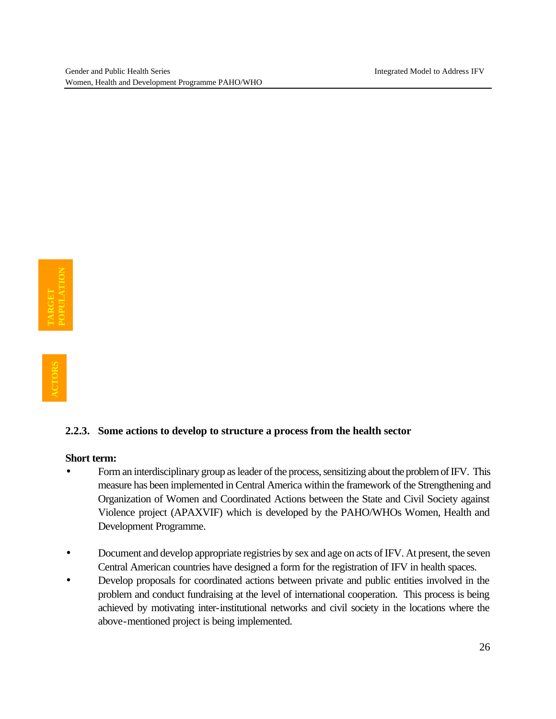#### **2.2.3. Some actions to develop to structure a process from the health sector**

#### **Short term:**

- Form an interdisciplinary group as leader of the process, sensitizing about the problem of IFV. This measure has been implemented in Central America within the framework of the Strengthening and Organization of Women and Coordinated Actions between the State and Civil Society against Violence project (APAXVIF) which is developed by the PAHO/WHOs Women, Health and Development Programme.
- Document and develop appropriate registries by sex and age on acts of IFV. At present, the seven Central American countries have designed a form for the registration of IFV in health spaces.
- Develop proposals for coordinated actions between private and public entities involved in the problem and conduct fundraising at the level of international cooperation. This process is being achieved by motivating inter-institutional networks and civil society in the locations where the above-mentioned project is being implemented.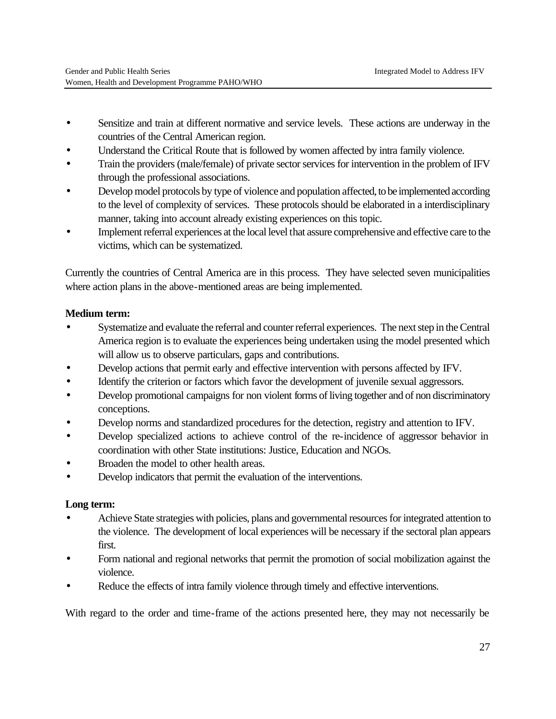- Sensitize and train at different normative and service levels. These actions are underway in the countries of the Central American region.
- Understand the Critical Route that is followed by women affected by intra family violence.
- Train the providers (male/female) of private sector services for intervention in the problem of IFV through the professional associations.
- Develop model protocols by type of violence and population affected, to be implemented according to the level of complexity of services. These protocols should be elaborated in a interdisciplinary manner, taking into account already existing experiences on this topic.
- Implement referral experiences at the local level that assure comprehensive and effective care to the victims, which can be systematized.

Currently the countries of Central America are in this process. They have selected seven municipalities where action plans in the above-mentioned areas are being implemented.

# **Medium term:**

- Systematize and evaluate the referral and counter referral experiences. The next step in the Central America region is to evaluate the experiences being undertaken using the model presented which will allow us to observe particulars, gaps and contributions.
- Develop actions that permit early and effective intervention with persons affected by IFV.
- Identify the criterion or factors which favor the development of juvenile sexual aggressors.
- Develop promotional campaigns for non violent forms of living together and of non discriminatory conceptions.
- Develop norms and standardized procedures for the detection, registry and attention to IFV.
- Develop specialized actions to achieve control of the re-incidence of aggressor behavior in coordination with other State institutions: Justice, Education and NGOs.
- Broaden the model to other health areas.
- Develop indicators that permit the evaluation of the interventions.

# **Long term:**

- Achieve State strategies with policies, plans and governmental resources for integrated attention to the violence. The development of local experiences will be necessary if the sectoral plan appears first.
- Form national and regional networks that permit the promotion of social mobilization against the violence.
- Reduce the effects of intra family violence through timely and effective interventions.

With regard to the order and time-frame of the actions presented here, they may not necessarily be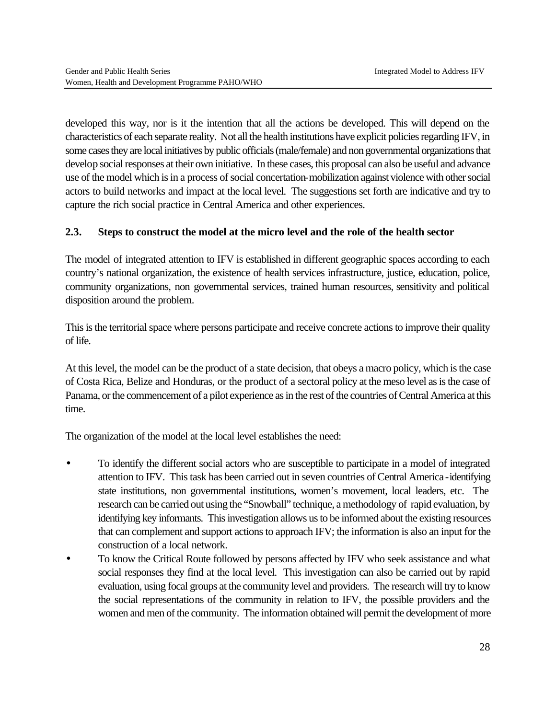developed this way, nor is it the intention that all the actions be developed. This will depend on the characteristics of each separate reality. Not all the health institutions have explicit policies regarding IFV, in some cases they are local initiatives by public officials (male/female) and non governmental organizations that develop social responses at their own initiative. In these cases, this proposal can also be useful and advance use of the model which is in a process of social concertation-mobilization against violence with other social actors to build networks and impact at the local level. The suggestions set forth are indicative and try to capture the rich social practice in Central America and other experiences.

#### **2.3. Steps to construct the model at the micro level and the role of the health sector**

The model of integrated attention to IFV is established in different geographic spaces according to each country's national organization, the existence of health services infrastructure, justice, education, police, community organizations, non governmental services, trained human resources, sensitivity and political disposition around the problem.

This is the territorial space where persons participate and receive concrete actions to improve their quality of life.

At this level, the model can be the product of a state decision, that obeys a macro policy, which is the case of Costa Rica, Belize and Honduras, or the product of a sectoral policy at the meso level as is the case of Panama, or the commencement of a pilot experience as in the rest of the countries of Central America at this time.

The organization of the model at the local level establishes the need:

- To identify the different social actors who are susceptible to participate in a model of integrated attention to IFV. This task has been carried out in seven countries of Central America -identifying state institutions, non governmental institutions, women's movement, local leaders, etc. The research can be carried out using the "Snowball" technique, a methodology of rapid evaluation, by identifying key informants. This investigation allows us to be informed about the existing resources that can complement and support actions to approach IFV; the information is also an input for the construction of a local network.
- To know the Critical Route followed by persons affected by IFV who seek assistance and what social responses they find at the local level. This investigation can also be carried out by rapid evaluation, using focal groups at the community level and providers. The research will try to know the social representations of the community in relation to IFV, the possible providers and the women and men of the community. The information obtained will permit the development of more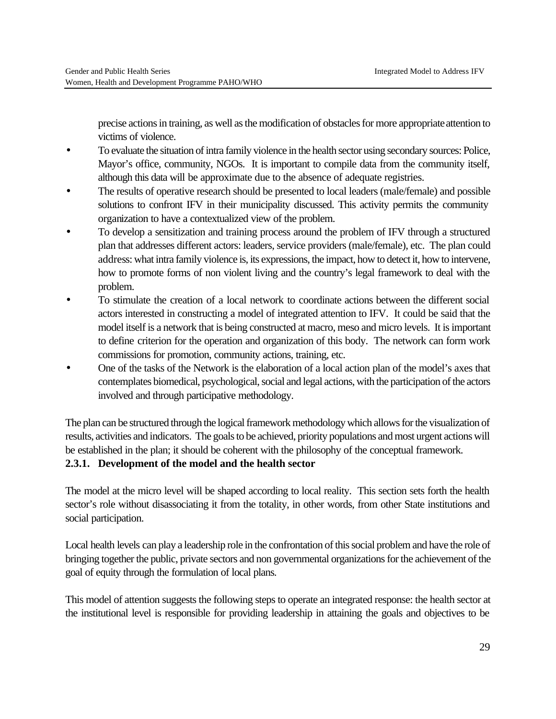precise actions in training, as well as the modification of obstacles for more appropriate attention to victims of violence.

- To evaluate the situation of intra family violence in the health sector using secondary sources: Police, Mayor's office, community, NGOs. It is important to compile data from the community itself, although this data will be approximate due to the absence of adequate registries.
- The results of operative research should be presented to local leaders (male/female) and possible solutions to confront IFV in their municipality discussed. This activity permits the community organization to have a contextualized view of the problem.
- To develop a sensitization and training process around the problem of IFV through a structured plan that addresses different actors: leaders, service providers (male/female), etc. The plan could address: what intra family violence is, its expressions, the impact, how to detect it, how to intervene, how to promote forms of non violent living and the country's legal framework to deal with the problem.
- To stimulate the creation of a local network to coordinate actions between the different social actors interested in constructing a model of integrated attention to IFV. It could be said that the model itself is a network that is being constructed at macro, meso and micro levels. It is important to define criterion for the operation and organization of this body. The network can form work commissions for promotion, community actions, training, etc.
- One of the tasks of the Network is the elaboration of a local action plan of the model's axes that contemplates biomedical, psychological, social and legal actions, with the participation of the actors involved and through participative methodology.

The plan can be structured through the logical framework methodology which allows for the visualization of results, activities and indicators. The goals to be achieved, priority populations and most urgent actions will be established in the plan; it should be coherent with the philosophy of the conceptual framework.

# **2.3.1. Development of the model and the health sector**

The model at the micro level will be shaped according to local reality. This section sets forth the health sector's role without disassociating it from the totality, in other words, from other State institutions and social participation.

Local health levels can play a leadership role in the confrontation of this social problem and have the role of bringing together the public, private sectors and non governmental organizations for the achievement of the goal of equity through the formulation of local plans.

This model of attention suggests the following steps to operate an integrated response: the health sector at the institutional level is responsible for providing leadership in attaining the goals and objectives to be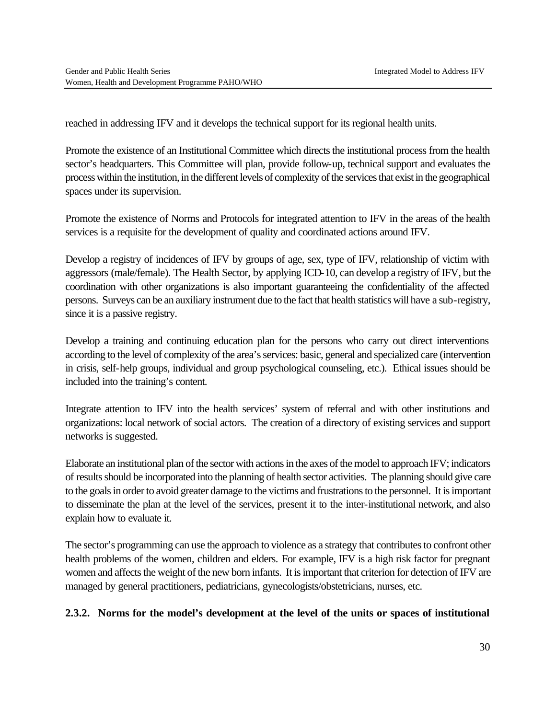reached in addressing IFV and it develops the technical support for its regional health units.

Promote the existence of an Institutional Committee which directs the institutional process from the health sector's headquarters. This Committee will plan, provide follow-up, technical support and evaluates the process within the institution, in the different levels of complexity of the services that exist in the geographical spaces under its supervision.

Promote the existence of Norms and Protocols for integrated attention to IFV in the areas of the health services is a requisite for the development of quality and coordinated actions around IFV.

Develop a registry of incidences of IFV by groups of age, sex, type of IFV, relationship of victim with aggressors (male/female). The Health Sector, by applying ICD-10, can develop a registry of IFV, but the coordination with other organizations is also important guaranteeing the confidentiality of the affected persons. Surveys can be an auxiliary instrument due to the fact that health statistics will have a sub-registry, since it is a passive registry.

Develop a training and continuing education plan for the persons who carry out direct interventions according to the level of complexity of the area's services: basic, general and specialized care (intervention in crisis, self-help groups, individual and group psychological counseling, etc.). Ethical issues should be included into the training's content.

Integrate attention to IFV into the health services' system of referral and with other institutions and organizations: local network of social actors. The creation of a directory of existing services and support networks is suggested.

Elaborate an institutional plan of the sector with actions in the axes of the model to approach IFV; indicators of results should be incorporated into the planning of health sector activities. The planning should give care to the goals in order to avoid greater damage to the victims and frustrations to the personnel. It is important to disseminate the plan at the level of the services, present it to the inter-institutional network, and also explain how to evaluate it.

The sector's programming can use the approach to violence as a strategy that contributes to confront other health problems of the women, children and elders. For example, IFV is a high risk factor for pregnant women and affects the weight of the new born infants. It is important that criterion for detection of IFV are managed by general practitioners, pediatricians, gynecologists/obstetricians, nurses, etc.

# **2.3.2. Norms for the model's development at the level of the units or spaces of institutional**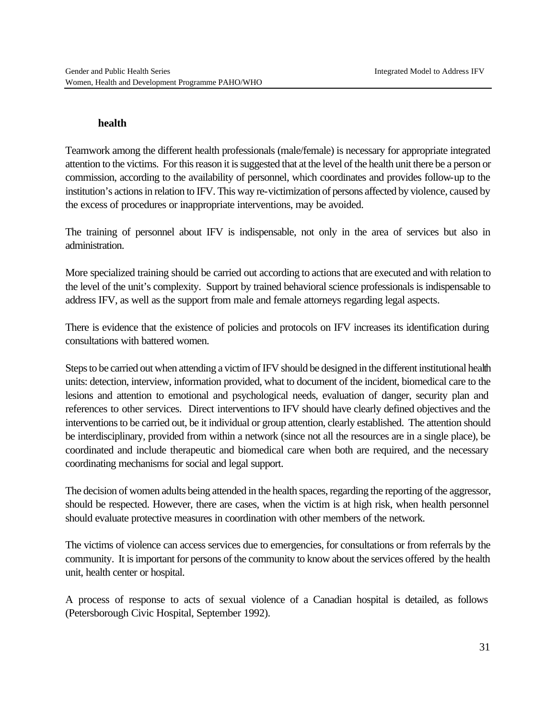#### **health**

Teamwork among the different health professionals (male/female) is necessary for appropriate integrated attention to the victims. For this reason it is suggested that at the level of the health unit there be a person or commission, according to the availability of personnel, which coordinates and provides follow-up to the institution's actions in relation to IFV. This way re-victimization of persons affected by violence, caused by the excess of procedures or inappropriate interventions, may be avoided.

The training of personnel about IFV is indispensable, not only in the area of services but also in administration.

More specialized training should be carried out according to actions that are executed and with relation to the level of the unit's complexity. Support by trained behavioral science professionals is indispensable to address IFV, as well as the support from male and female attorneys regarding legal aspects.

There is evidence that the existence of policies and protocols on IFV increases its identification during consultations with battered women.

Steps to be carried out when attending a victim of IFV should be designed in the different institutional health units: detection, interview, information provided, what to document of the incident, biomedical care to the lesions and attention to emotional and psychological needs, evaluation of danger, security plan and references to other services. Direct interventions to IFV should have clearly defined objectives and the interventions to be carried out, be it individual or group attention, clearly established. The attention should be interdisciplinary, provided from within a network (since not all the resources are in a single place), be coordinated and include therapeutic and biomedical care when both are required, and the necessary coordinating mechanisms for social and legal support.

The decision of women adults being attended in the health spaces, regarding the reporting of the aggressor, should be respected. However, there are cases, when the victim is at high risk, when health personnel should evaluate protective measures in coordination with other members of the network.

The victims of violence can access services due to emergencies, for consultations or from referrals by the community. It is important for persons of the community to know about the services offered by the health unit, health center or hospital.

A process of response to acts of sexual violence of a Canadian hospital is detailed, as follows (Petersborough Civic Hospital, September 1992).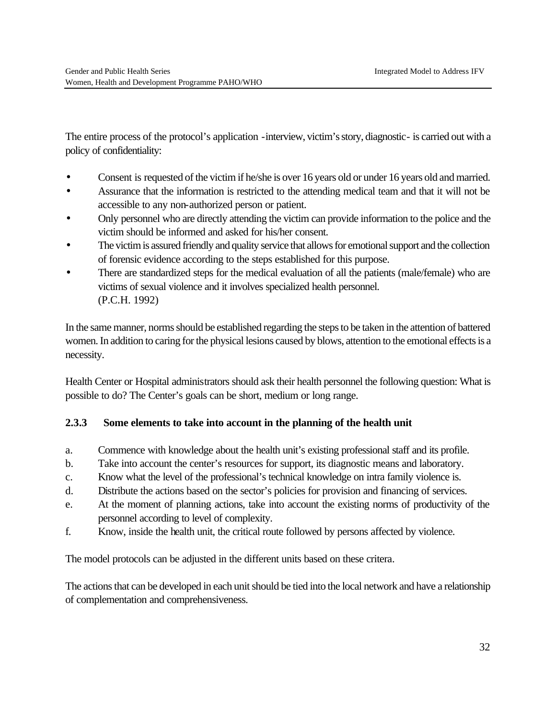The entire process of the protocol's application -interview, victim's story, diagnostic- is carried out with a policy of confidentiality:

- Consent is requested of the victim if he/she is over 16 years old or under 16 years old and married.
- Assurance that the information is restricted to the attending medical team and that it will not be accessible to any non-authorized person or patient.
- Only personnel who are directly attending the victim can provide information to the police and the victim should be informed and asked for his/her consent.
- The victim is assured friendly and quality service that allows for emotional support and the collection of forensic evidence according to the steps established for this purpose.
- There are standardized steps for the medical evaluation of all the patients (male/female) who are victims of sexual violence and it involves specialized health personnel. (P.C.H. 1992)

In the same manner, norms should be established regarding the steps to be taken in the attention of battered women. In addition to caring for the physical lesions caused by blows, attention to the emotional effects is a necessity.

Health Center or Hospital administrators should ask their health personnel the following question: What is possible to do? The Center's goals can be short, medium or long range.

# **2.3.3 Some elements to take into account in the planning of the health unit**

- a. Commence with knowledge about the health unit's existing professional staff and its profile.
- b. Take into account the center's resources for support, its diagnostic means and laboratory.
- c. Know what the level of the professional's technical knowledge on intra family violence is.
- d. Distribute the actions based on the sector's policies for provision and financing of services.
- e. At the moment of planning actions, take into account the existing norms of productivity of the personnel according to level of complexity.
- f. Know, inside the health unit, the critical route followed by persons affected by violence.

The model protocols can be adjusted in the different units based on these critera.

The actions that can be developed in each unit should be tied into the local network and have a relationship of complementation and comprehensiveness.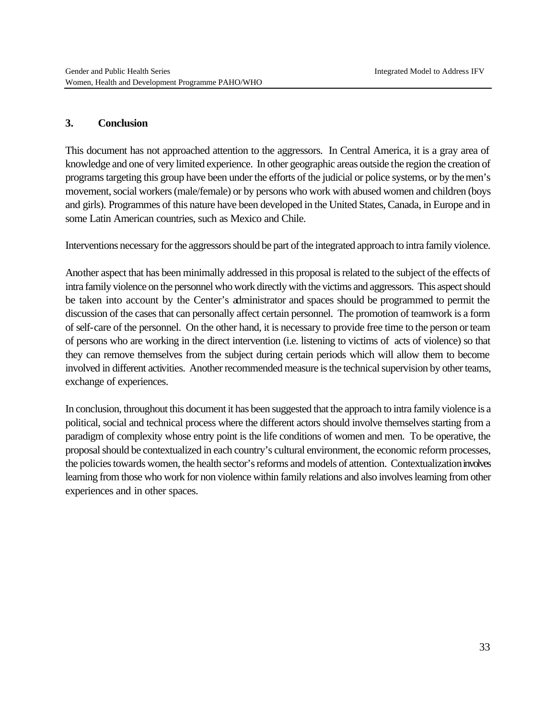#### **3. Conclusion**

This document has not approached attention to the aggressors. In Central America, it is a gray area of knowledge and one of very limited experience. In other geographic areas outside the region the creation of programs targeting this group have been under the efforts of the judicial or police systems, or by the men's movement, social workers (male/female) or by persons who work with abused women and children (boys and girls). Programmes of this nature have been developed in the United States, Canada, in Europe and in some Latin American countries, such as Mexico and Chile.

Interventions necessary for the aggressors should be part of the integrated approach to intra family violence.

Another aspect that has been minimally addressed in this proposal is related to the subject of the effects of intra family violence on the personnel who work directly with the victims and aggressors. This aspect should be taken into account by the Center's administrator and spaces should be programmed to permit the discussion of the cases that can personally affect certain personnel. The promotion of teamwork is a form of self-care of the personnel. On the other hand, it is necessary to provide free time to the person or team of persons who are working in the direct intervention (i.e. listening to victims of acts of violence) so that they can remove themselves from the subject during certain periods which will allow them to become involved in different activities. Another recommended measure is the technical supervision by other teams, exchange of experiences.

In conclusion, throughout this document it has been suggested that the approach to intra family violence is a political, social and technical process where the different actors should involve themselves starting from a paradigm of complexity whose entry point is the life conditions of women and men. To be operative, the proposal should be contextualized in each country's cultural environment, the economic reform processes, the policies towards women, the health sector's reforms and models of attention. Contextualization involves learning from those who work for non violence within family relations and also involves learning from other experiences and in other spaces.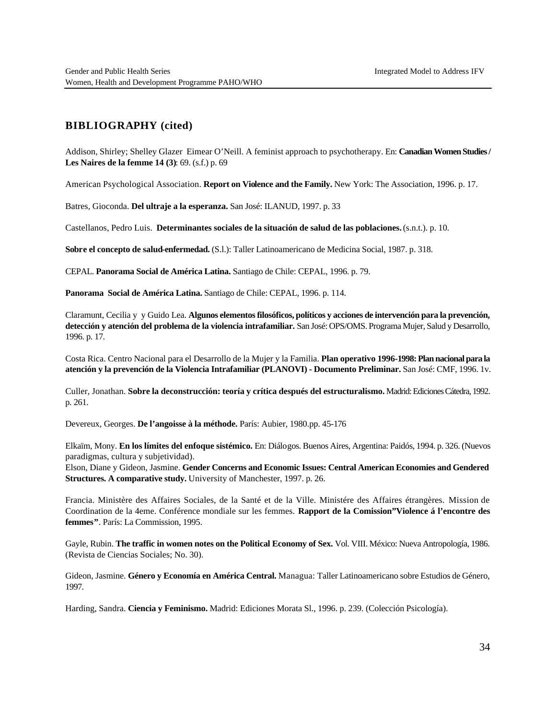#### **BIBLIOGRAPHY (cited)**

Addison, Shirley; Shelley Glazer Eimear O'Neill. A feminist approach to psychotherapy. En: **Canadian Women Studies / Les Naires de la femme 14 (3)**: 69. (s.f.) p. 69

American Psychological Association. **Report on Violence and the Family.** New York: The Association, 1996. p. 17.

Batres, Gioconda. **Del ultraje a la esperanza.** San José: ILANUD, 1997. p. 33

Castellanos, Pedro Luis. **Determinantes sociales de la situación de salud de las poblaciones.** (s.n.t.). p. 10.

**Sobre el concepto de salud-enfermedad.** (S.l.): Taller Latinoamericano de Medicina Social, 1987. p. 318.

CEPAL. **Panorama Social de América Latina.** Santiago de Chile: CEPAL, 1996. p. 79.

**Panorama Social de América Latina.** Santiago de Chile: CEPAL, 1996. p. 114.

Claramunt, Cecilia y y Guido Lea. **Algunos elementos filosóficos, políticos y acciones de intervención para la prevención, detección y atención del problema de la violencia intrafamiliar.** San José: OPS/OMS. Programa Mujer, Salud y Desarrollo, 1996. p. 17.

Costa Rica. Centro Nacional para el Desarrollo de la Mujer y la Familia. **Plan operativo 1996-1998: Plan nacional para la atención y la prevención de la Violencia Intrafamiliar (PLANOVI) - Documento Preliminar.** San José: CMF, 1996. 1v.

Culler, Jonathan. **Sobre la deconstrucción: teoría y crítica después del estructuralismo.** Madrid: Ediciones Cátedra, 1992. p. 261.

Devereux, Georges. **De l'angoisse à la méthode.** París: Aubier, 1980.pp. 45-176

Elkaïm, Mony. **En los límites del enfoque sistémico.** En: Diálogos. Buenos Aires, Argentina: Paidós, 1994. p. 326. (Nuevos paradigmas, cultura y subjetividad).

Elson, Diane y Gideon, Jasmine. **Gender Concerns and Economic Issues: Central American Economies and Gendered Structures. A comparative study.** University of Manchester, 1997. p. 26.

Francia. Ministère des Affaires Sociales, de la Santé et de la Ville. Ministére des Affaires étrangères. Mission de Coordination de la 4eme. Conférence mondiale sur les femmes. **Rapport de la Comission"Violence á l'encontre des femmes"**. París: La Commission, 1995.

Gayle, Rubin. **The traffic in women notes on the Political Economy of Sex.** Vol. VIII. México: Nueva Antropología, 1986. (Revista de Ciencias Sociales; No. 30).

Gideon, Jasmine. **Género y Economía en América Central.** Managua: Taller Latinoamericano sobre Estudios de Género, 1997.

Harding, Sandra. **Ciencia y Feminismo.** Madrid: Ediciones Morata Sl., 1996. p. 239. (Colección Psicología).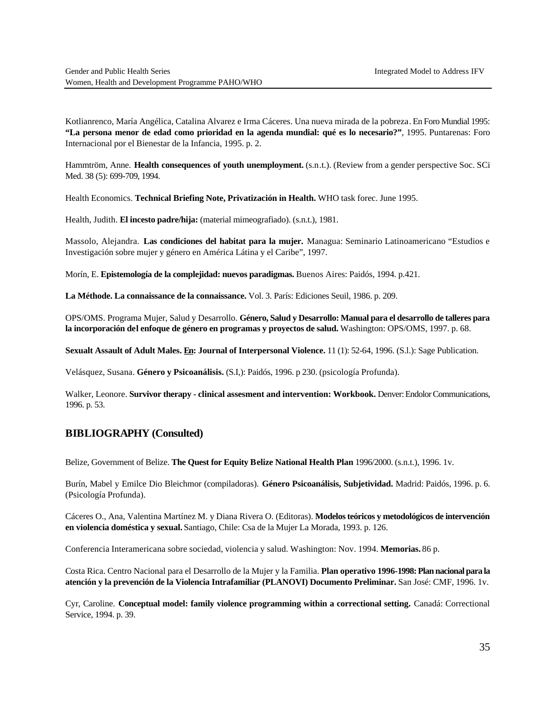Kotlianrenco, María Angélica, Catalina Alvarez e Irma Cáceres. Una nueva mirada de la pobreza. En Foro Mundial 1995: **"La persona menor de edad como prioridad en la agenda mundial: qué es lo necesario?"**, 1995. Puntarenas: Foro Internacional por el Bienestar de la Infancia, 1995. p. 2.

Hammtröm, Anne. **Health consequences of youth unemployment.** (s.n.t.). (Review from a gender perspective Soc. SCi Med. 38 (5): 699-709, 1994.

Health Economics. **Technical Briefing Note, Privatización in Health.** WHO task forec. June 1995.

Health, Judith. **El incesto padre/hija:** (material mimeografiado). (s.n.t.), 1981.

Massolo, Alejandra. **Las condiciones del habitat para la mujer.** Managua: Seminario Latinoamericano "Estudios e Investigación sobre mujer y género en América Látina y el Caribe", 1997.

Morín, E. **Epistemología de la complejidad: nuevos paradigmas.** Buenos Aires: Paidós, 1994. p.421.

**La Méthode. La connaissance de la connaissance.** Vol. 3. París: Ediciones Seuil, 1986. p. 209.

OPS/OMS. Programa Mujer, Salud y Desarrollo. **Género, Salud y Desarrollo: Manual para el desarrollo de talleres para la incorporación del enfoque de género en programas y proyectos de salud.** Washington: OPS/OMS, 1997. p. 68.

**Sexualt Assault of Adult Males. En: Journal of Interpersonal Violence.** 11 (1): 52-64, 1996. (S.l.): Sage Publication.

Velásquez, Susana. **Género y Psicoanálisis.** (S.I,): Paidós, 1996. p 230. (psicología Profunda).

Walker, Leonore. **Survivor therapy - clinical assesment and intervention: Workbook.** Denver: Endolor Communications, 1996. p. 53.

#### **BIBLIOGRAPHY (Consulted)**

Belize, Government of Belize. **The Quest for Equity Belize National Health Plan** 1996/2000. (s.n.t.), 1996. 1v.

Burín, Mabel y Emilce Dio Bleichmor (compiladoras). **Género Psicoanálisis, Subjetividad.** Madrid: Paidós, 1996. p. 6. (Psicología Profunda).

Cáceres O., Ana, Valentina Martínez M. y Diana Rivera O. (Editoras). **Modelos teóricos y metodológicos de intervención en violencia doméstica y sexual.** Santiago, Chile: Csa de la Mujer La Morada, 1993. p. 126.

Conferencia Interamericana sobre sociedad, violencia y salud. Washington: Nov. 1994. **Memorias.** 86 p.

Costa Rica. Centro Nacional para el Desarrollo de la Mujer y la Familia. **Plan operativo 1996-1998: Plan nacional para la atención y la prevención de la Violencia Intrafamiliar (PLANOVI) Documento Preliminar.** San José: CMF, 1996. 1v.

Cyr, Caroline. **Conceptual model: family violence programming within a correctional setting.** Canadá: Correctional Service, 1994. p. 39.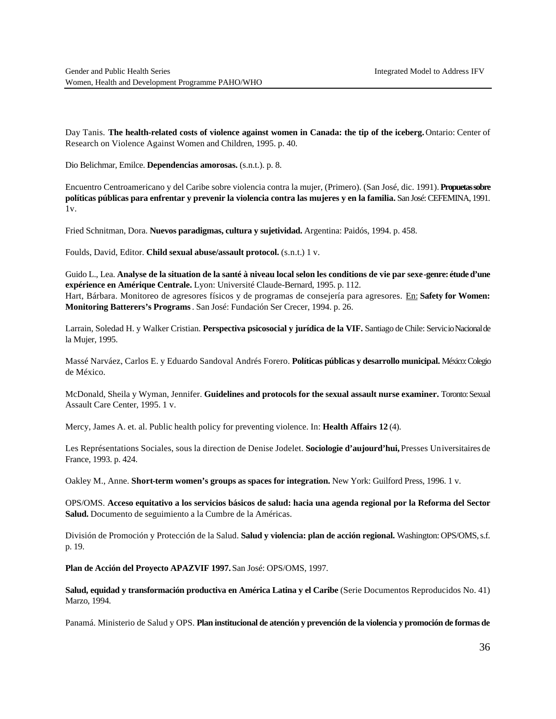Day Tanis. **The health-related costs of violence against women in Canada: the tip of the iceberg.** Ontario: Center of Research on Violence Against Women and Children, 1995. p. 40.

Dio Belichmar, Emilce. **Dependencias amorosas.** (s.n.t.). p. 8.

Encuentro Centroamericano y del Caribe sobre violencia contra la mujer, (Primero). (San José, dic. 1991). **Propuetas sobre políticas públicas para enfrentar y prevenir la violencia contra las mujeres y en la familia.** San José: CEFEMINA, 1991. 1v.

Fried Schnitman, Dora. **Nuevos paradigmas, cultura y sujetividad.** Argentina: Paidós, 1994. p. 458.

Foulds, David, Editor. **Child sexual abuse/assault protocol.** (s.n.t.) 1 v.

Guido L., Lea. **Analyse de la situation de la santé à niveau local selon les conditions de vie par sexe-genre: étude d'une expérience en Amérique Centrale.** Lyon: Université Claude-Bernard, 1995. p. 112. Hart, Bárbara. Monitoreo de agresores físicos y de programas de consejería para agresores. En: **Safety for Women: Monitoring Batterers's Programs**. San José: Fundación Ser Crecer, 1994. p. 26.

Larrain, Soledad H. y Walker Cristian. **Perspectiva psicosocial y jurídica de la VIF.** Santiago de Chile: Servicio Nacional de la Mujer, 1995.

Massé Narváez, Carlos E. y Eduardo Sandoval Andrés Forero. **Políticas públicas y desarrollo municipal.** México: Colegio de México.

McDonald, Sheila y Wyman, Jennifer. **Guidelines and protocols for the sexual assault nurse examiner.** Toronto: Sexual Assault Care Center, 1995. 1 v.

Mercy, James A. et. al. Public health policy for preventing violence. In: **Health Affairs 12** (4).

Les Représentations Sociales, sous la direction de Denise Jodelet. **Sociologie d'aujourd'hui,** Presses Universitaires de France, 1993. p. 424.

Oakley M., Anne. **Short-term women's groups as spaces for integration.** New York: Guilford Press, 1996. 1 v.

OPS/OMS. **Acceso equitativo a los servicios básicos de salud: hacia una agenda regional por la Reforma del Sector Salud.** Documento de seguimiento a la Cumbre de la Américas.

División de Promoción y Protección de la Salud. **Salud y violencia: plan de acción regional.** Washington: OPS/OMS, s.f. p. 19.

**Plan de Acción del Proyecto APAZVIF 1997.** San José: OPS/OMS, 1997.

**Salud, equidad y transformación productiva en América Latina y el Caribe** (Serie Documentos Reproducidos No. 41) Marzo, 1994.

Panamá. Ministerio de Salud y OPS. **Plan institucional de atención y prevención de la violencia y promoción de formas de**